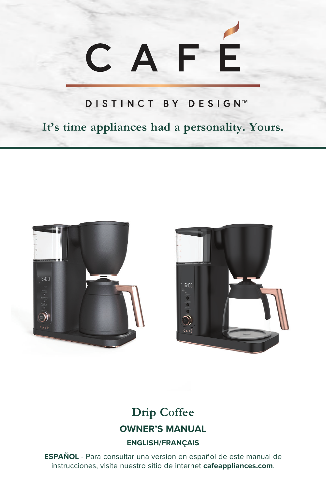## Ē CAF

#### DISTINCT BY DESIGN™

**It's time appliances had a personality. Yours.** 





## **Drip Coffee OWNER'S MANUAL**

#### **ENGLISH/FRANÇAIS**

**ESPAÑOL** - Para consultar una version en español de este manual de instrucciones, visite nuestro sitio de internet **cafeappliances.com**.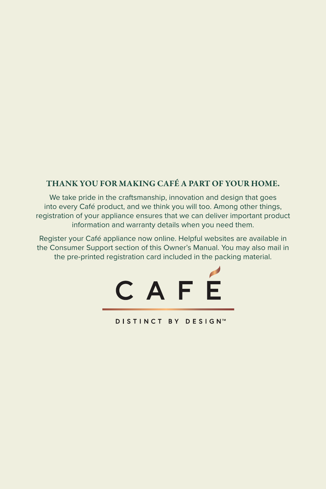#### THANK YOU FOR MAKING CAFÉ A PART OF YOUR HOME.

We take pride in the craftsmanship, innovation and design that goes into every Café product, and we think you will too. Among other things, registration of your appliance ensures that we can deliver important product information and warranty details when you need them.

Register your Café appliance now online. Helpful websites are available in the Consumer Support section of this Owner's Manual. You may also mail in the pre-printed registration card included in the packing material.



**DISTINCT BY DESIGN™**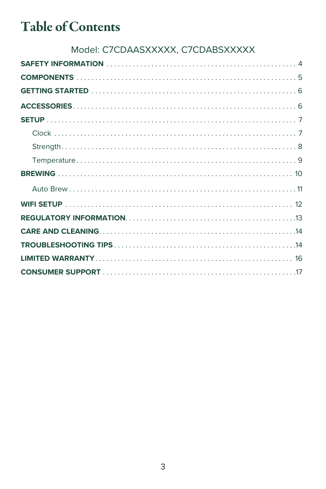## **Table of Contents**

#### Model: C7CDAASXXXXX, C7CDABSXXXXX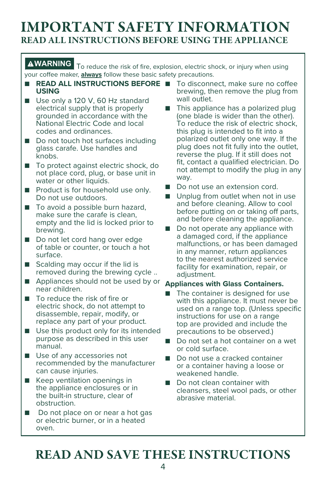### IMPORTANT SAFETY INFORMATION READ ALL INSTRUCTIONS BEFORE USING THE APPLIANCE

#### **AWARNING** To reduce the risk of fire, explosion, electric shock, or injury when using your coffee maker, **always** follow these basic safety precautions.

- **READ ALL INSTRUCTIONS BEFORE** To disconnect, make sure no coffee **USING**
- Use only a 120 V, 60 Hz standard electrical supply that is properly grounded in accordance with the National Electric Code and local codes and ordinances.
- Do not touch hot surfaces including glass carafe. Use handles and knobs.
- To protect against electric shock, do not place cord, plug, or base unit in water or other liquids.
- Product is for household use only. Do not use outdoors.
- To avoid a possible burn hazard, make sure the carafe is clean, empty and the lid is locked prior to brewing.
- Do not let cord hang over edge of table or counter, or touch a hot surface.
- Scalding may occur if the lid is removed during the brewing cycle ..
- Appliances should not be used by or near children.
- To reduce the risk of fire or electric shock, do not attempt to disassemble, repair, modify, or replace any part of your product.
- Use this product only for its intended purpose as described in this user manual.
- Use of any accessories not recommended by the manufacturer can cause injuries.
- Keep ventilation openings in the appliance enclosures or in the built-in structure, clear of obstruction.
- Do not place on or near a hot gas or electric burner, or in a heated oven.
- brewing, then remove the plug from wall outlet.
- This appliance has a polarized plug (one blade is wider than the other). To reduce the risk of electric shock, this plug is intended to fit into a polarized outlet only one way. If the plug does not fit fully into the outlet, reverse the plug. If it still does not fit, contact a qualified electrician. Do not attempt to modify the plug in any way.
- Do not use an extension cord.
- Unplug from outlet when not in use and before cleaning. Allow to cool before putting on or taking off parts, and before cleaning the appliance.
- Do not operate any appliance with a damaged cord, if the appliance malfunctions, or has been damaged in any manner, return appliances to the nearest authorized service facility for examination, repair, or adjustment.

#### **Appliances with Glass Containers.**

- The container is designed for use with this appliance. It must never be used on a range top. (Unless specific instructions for use on a range top are provided and include the precautions to be observed.)
- Do not set a hot container on a wet or cold surface.
- Do not use a cracked container or a container having a loose or weakened handle.
- Do not clean container with cleansers, steel wool pads, or other abrasive material.

## READ AND SAVE THESE INSTRUCTIONS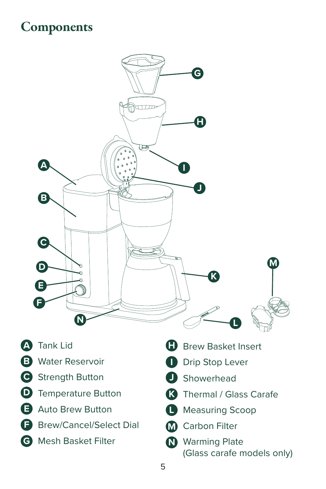## **Components**



- **A** Tank Lid
- **B** Water Reservoir
- **C** Strength Button
- **D** Temperature Button
- **E** Auto Brew Button
- **F** Brew/Cancel/Select Dial
- **G** Mesh Basket Filter
- **H** Brew Basket Insert
- **I** Drip Stop Lever
- **J** Showerhead
- **K** Thermal / Glass Carafe
- **L** Measuring Scoop
- **M** Carbon Filter
- **N** Warming Plate (Glass carafe models only)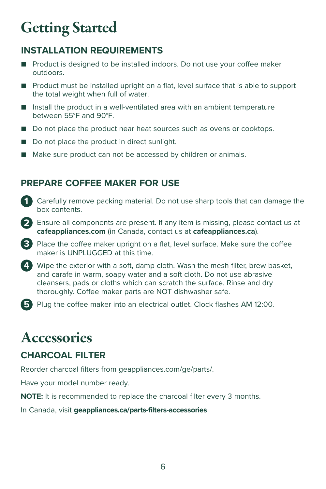## Getting Started

#### **INSTALLATION REQUIREMENTS**

- Product is designed to be installed indoors. Do not use your coffee maker outdoors.
- Product must be installed upright on a flat, level surface that is able to support the total weight when full of water.
- Install the product in a well-ventilated area with an ambient temperature between 55°F and 90°F.
- Do not place the product near heat sources such as ovens or cooktops.
- Do not place the product in direct sunlight.
- Make sure product can not be accessed by children or animals.

#### **PREPARE COFFEE MAKER FOR USE**

- **1** Carefully remove packing material. Do not use sharp tools that can damage the box contents.
- **2** Ensure all components are present. If any item is missing, please contact us at **cafeappliances.com** (in Canada, contact us at **cafeappliances.ca**).
- **3** Place the coffee maker upright on a flat, level surface. Make sure the coffee maker is UNPLUGGED at this time.
- **4** Wipe the exterior with a soft, damp cloth. Wash the mesh filter, brew basket, and carafe in warm, soapy water and a soft cloth. Do not use abrasive cleansers, pads or cloths which can scratch the surface. Rinse and dry thoroughly. Coffee maker parts are NOT dishwasher safe.
- **5** Plug the coffee maker into an electrical outlet. Clock flashes AM 12:00.

## **Accessories**

#### **CHARCOAL FILTER**

Reorder charcoal filters from geappliances.com/ge/parts/.

Have your model number ready.

**NOTE:** It is recommended to replace the charcoal filter every 3 months.

In Canada, visit **geappliances.ca/parts-filters-accessories**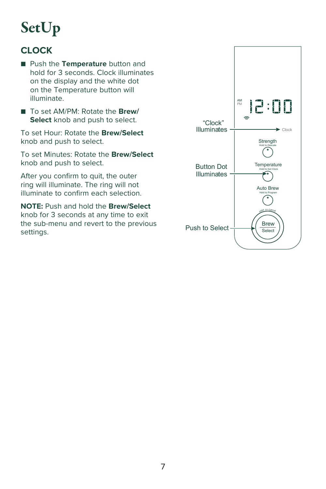## **SetUp**

#### **CLOCK**

- Push the **Temperature** button and hold for 3 seconds. Clock illuminates on the display and the white dot on the Temperature button will illuminate.
- To set AM/PM: Rotate the **Brew/ Select** knob and push to select.

To set Hour: Rotate the **Brew/Select** knob and push to select.

To set Minutes: Rotate the **Brew/Select** knob and push to select.

After you confirm to quit, the outer ring will illuminate. The ring will not illuminate to confirm each selection.

**NOTE:** Push and hold the **Brew/Select** knob for 3 seconds at any time to exit the sub-menu and revert to the previous settings.

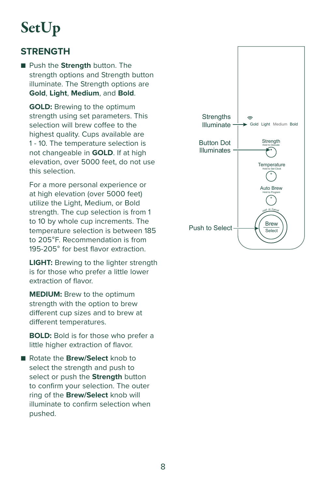## SetUp

#### **STRENGTH**

■ Push the **Strength** button. The strength options and Strength button illuminate. The Strength options are **Gold**, **Light**, **Medium**, and **Bold**.

**GOLD:** Brewing to the optimum strength using set parameters. This selection will brew coffee to the highest quality. Cups available are 1 - 10. The temperature selection is not changeable in **GOLD**. If at high elevation, over 5000 feet, do not use this selection.

 For a more personal experience or at high elevation (over 5000 feet) utilize the Light, Medium, or Bold strength. The cup selection is from 1 to 10 by whole cup increments. The temperature selection is between 185 to 205°F. Recommendation is from 195-205° for best flavor extraction.

**LIGHT:** Brewing to the lighter strength is for those who prefer a little lower extraction of flavor.

**MEDIUM:** Brew to the optimum strength with the option to brew different cup sizes and to brew at different temperatures.

**BOLD:** Bold is for those who prefer a little higher extraction of flavor.

■ Rotate the **Brew/Select** knob to select the strength and push to select or push the **Strength** button to confirm your selection. The outer ring of the **Brew/Select** knob will illuminate to confirm selection when pushed.

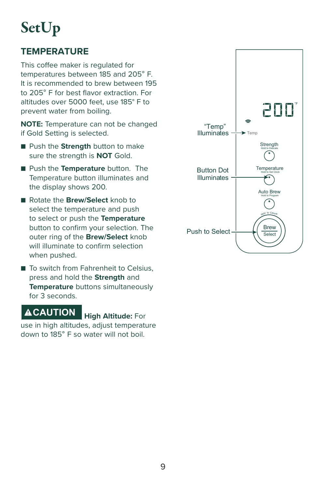## SetUp

#### **TEMPERATURE**

This coffee maker is regulated for temperatures between 185 and 205° F. It is recommended to brew between 195 to 205° F for best flavor extraction. For altitudes over 5000 feet, use 185° F to prevent water from boiling.

**NOTE:** Temperature can not be changed if Gold Setting is selected.

- Push the **Strength** button to make sure the strength is **NOT** Gold.
- Push the **Temperature** button. The Temperature button illuminates and the display shows 200.
- Rotate the **Brew/Select** knob to select the temperature and push to select or push the **Temperature** button to confirm your selection. The outer ring of the **Brew/Select** knob will illuminate to confirm selection when pushed.
- To switch from Fahrenheit to Celsius. press and hold the **Strength** and **Temperature** buttons simultaneously for 3 seconds.

### **CAUTION High Altitude:** For

use in high altitudes, adjust temperature down to 185° F so water will not boil.

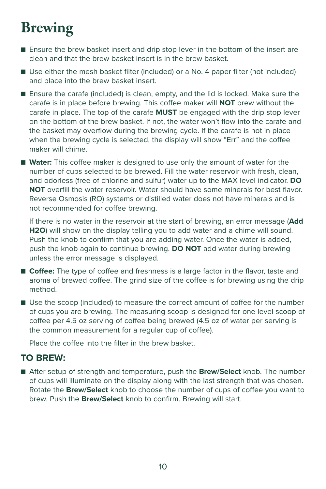## Brewing

- Ensure the brew basket insert and drip stop lever in the bottom of the insert are clean and that the brew basket insert is in the brew basket.
- Use either the mesh basket filter (included) or a No. 4 paper filter (not included) and place into the brew basket insert.
- Ensure the carafe (included) is clean, empty, and the lid is locked. Make sure the carafe is in place before brewing. This coffee maker will **NOT** brew without the carafe in place. The top of the carafe **MUST** be engaged with the drip stop lever on the bottom of the brew basket. If not, the water won't flow into the carafe and the basket may overflow during the brewing cycle. If the carafe is not in place when the brewing cycle is selected, the display will show "Err" and the coffee maker will chime.
- **Water:** This coffee maker is designed to use only the amount of water for the number of cups selected to be brewed. Fill the water reservoir with fresh, clean, and odorless (free of chlorine and sulfur) water up to the MAX level indicator. **DO NOT** overfill the water reservoir. Water should have some minerals for best flavor. Reverse Osmosis (RO) systems or distilled water does not have minerals and is not recommended for coffee brewing.

 If there is no water in the reservoir at the start of brewing, an error message (**Add H2O**) will show on the display telling you to add water and a chime will sound. Push the knob to confirm that you are adding water. Once the water is added, push the knob again to continue brewing. **DO NOT** add water during brewing unless the error message is displayed.

- **Coffee:** The type of coffee and freshness is a large factor in the flavor, taste and aroma of brewed coffee. The grind size of the coffee is for brewing using the drip method.
- Use the scoop (included) to measure the correct amount of coffee for the number of cups you are brewing. The measuring scoop is designed for one level scoop of coffee per 4.5 oz serving of coffee being brewed (4.5 oz of water per serving is the common measurement for a regular cup of coffee).

Place the coffee into the filter in the brew basket.

#### **TO BREW:**

■ After setup of strength and temperature, push the **Brew/Select** knob. The number of cups will illuminate on the display along with the last strength that was chosen. Rotate the **Brew/Select** knob to choose the number of cups of coffee you want to brew. Push the **Brew/Select** knob to confirm. Brewing will start.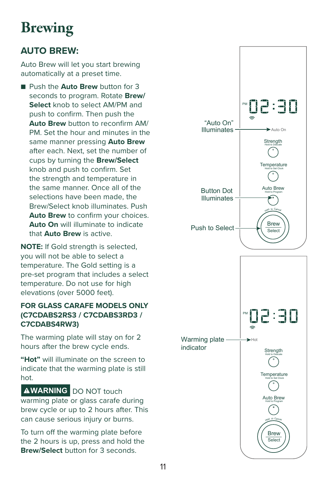## Brewing

#### **AUTO BREW:**

Auto Brew will let you start brewing automatically at a preset time.

■ Push the **Auto Brew** button for 3 seconds to program. Rotate **Brew/ Select** knob to select AM/PM and push to confirm. Then push the **Auto Brew** button to reconfirm AM/ PM. Set the hour and minutes in the same manner pressing **Auto Brew** after each. Next, set the number of cups by turning the **Brew/Select**  knob and push to confirm. Set the strength and temperature in the same manner. Once all of the selections have been made, the Brew/Select knob illuminates. Push **Auto Brew** to confirm your choices. **Auto On** will illuminate to indicate that **Auto Brew** is active.

**NOTE:** If Gold strength is selected, you will not be able to select a temperature. The Gold setting is a pre-set program that includes a select temperature. Do not use for high elevations (over 5000 feet).

#### **FOR GLASS CARAFE MODELS ONLY (C7CDABS2RS3 / C7CDABS3RD3 / C7CDABS4RW3)**

The warming plate will stay on for 2 hours after the brew cycle ends.

**"Hot"** will illuminate on the screen to indicate that the warming plate is still hot.

**AWARNING** DO NOT touch warming plate or glass carafe during brew cycle or up to 2 hours after. This can cause serious injury or burns.

To turn off the warming plate before the 2 hours is up, press and hold the **Brew/Select** button for 3 seconds.

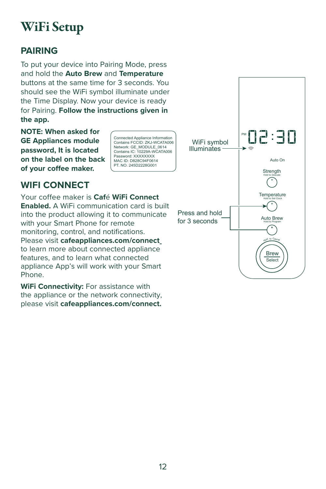## WiFi Setup

#### **PAIRING**

To put your device into Pairing Mode, press and hold the **Auto Brew** and **Temperature** buttons at the same time for 3 seconds. You should see the WiFi symbol illuminate under the Time Display. Now your device is ready for Pairing. **Follow the instructions given in the app.** 

**NOTE: When asked for GE Appliances module password, It is located on the label on the back of your coffee maker.**

Connected Appliance Information Contains FCCID: ZKJ-WCATA006 Network: GE\_MODULE\_0614 Contains IC: 10229A-WCATA006 Password: XXXXXXXX MAC ID: D828C94F0614 PT. NO. 245D2228G001

#### **WIFI CONNECT**

Your coffee maker is **Caf**é **WiFi Connect Enabled.** A WiFi communication card is built into the product allowing it to communicate with your Smart Phone for remote monitoring, control, and notifications. Please visit **cafeappliances.com/connect**  to learn more about connected appliance features, and to learn what connected appliance App's will work with your Smart Phone.

**WiFi Connectivity:** For assistance with the appliance or the network connectivity, please visit **cafeappliances.com/connect.**

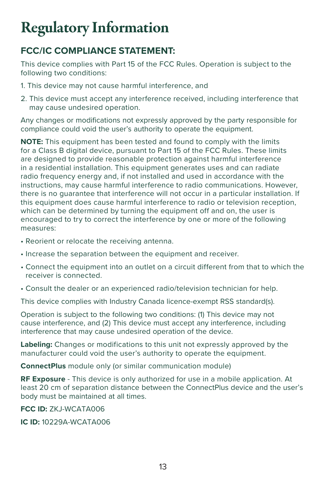## Regulatory Information

#### **FCC/IC COMPLIANCE STATEMENT:**

This device complies with Part 15 of the FCC Rules. Operation is subject to the following two conditions:

- 1. This device may not cause harmful interference, and
- 2. This device must accept any interference received, including interference that may cause undesired operation.

Any changes or modifications not expressly approved by the party responsible for compliance could void the user's authority to operate the equipment.

**NOTE:** This equipment has been tested and found to comply with the limits for a Class B digital device, pursuant to Part 15 of the FCC Rules. These limits are designed to provide reasonable protection against harmful interference in a residential installation. This equipment generates uses and can radiate radio frequency energy and, if not installed and used in accordance with the instructions, may cause harmful interference to radio communications. However, there is no guarantee that interference will not occur in a particular installation. If this equipment does cause harmful interference to radio or television reception, which can be determined by turning the equipment off and on, the user is encouraged to try to correct the interference by one or more of the following measures:

- Reorient or relocate the receiving antenna.
- Increase the separation between the equipment and receiver.
- Connect the equipment into an outlet on a circuit different from that to which the receiver is connected.
- Consult the dealer or an experienced radio/television technician for help.

This device complies with Industry Canada licence-exempt RSS standard(s).

Operation is subject to the following two conditions: (1) This device may not cause interference, and (2) This device must accept any interference, including interference that may cause undesired operation of the device.

**Labeling:** Changes or modifications to this unit not expressly approved by the manufacturer could void the user's authority to operate the equipment.

**ConnectPlus** module only (or similar communication module)

**RF Exposure** - This device is only authorized for use in a mobile application. At least 20 cm of separation distance between the ConnectPlus device and the user's body must be maintained at all times.

**FCC ID:** ZKJ-WCATA006

**IC ID:** 10229A-WCATA006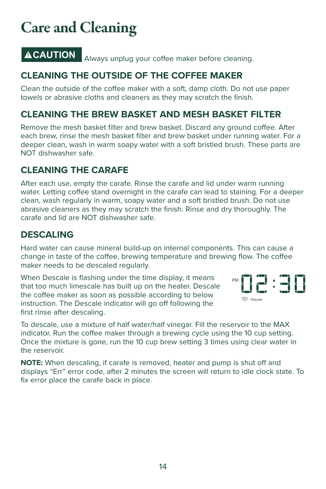## Care and Cleaning

**ACAUTION** Always unplug your coffee maker before cleaning.

#### **CLEANING THE OUTSIDE OF THE COFFEE MAKER**

Clean the outside of the coffee maker with a soft, damp cloth. Do not use paper towels or abrasive cloths and cleaners as they may scratch the finish.

#### **CLEANING THE BREW BASKET AND MESH BASKET FILTER**

Remove the mesh basket filter and brew basket. Discard any ground coffee. After each brew, rinse the mesh basket filter and brew basket under running water. For a deeper clean, wash in warm soapy water with a soft bristled brush. These parts are NOT dishwasher safe.

#### **CLEANING THE CARAFE**

After each use, empty the carafe. Rinse the carafe and lid under warm running water. Letting coffee stand overnight in the carafe can lead to staining. For a deeper clean, wash regularly in warm, soapy water and a soft bristled brush. Do not use abrasive cleaners as they may scratch the finish. Rinse and dry thoroughly. The carafe and lid are NOT dishwasher safe.

#### **DESCALING**

Hard water can cause mineral build-up on internal components. This can cause a change in taste of the coffee, brewing temperature and brewing flow. The coffee maker needs to be descaled regularly.

When Descale is flashing under the time display, it means that too much limescale has built up on the heater. Descale the coffee maker as soon as possible according to below instruction. The Descale indicator will go off following the first rinse after descaling.



To descale, use a mixture of half water/half vinegar. Fill the reservoir to the MAX indicator. Run the coffee maker through a brewing cycle using the 10 cup setting. Once the mixture is gone, run the 10 cup brew setting 3 times using clear water in the reservoir.

**NOTE:** When descaling, if carafe is removed, heater and pump is shut off and displays "Err" error code, after 2 minutes the screen will return to idle clock state. To fix error place the carafe back in place.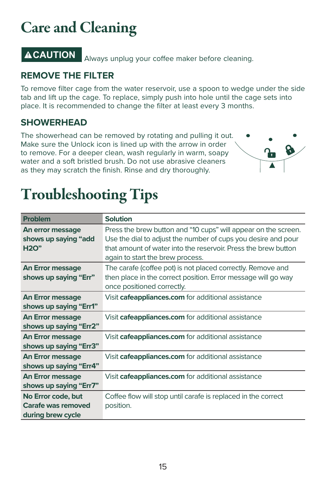## Care and Cleaning

**ACAUTION** Always unplug your coffee maker before cleaning.

#### **REMOVE THE FILTER**

To remove filter cage from the water reservoir, use a spoon to wedge under the side tab and lift up the cage. To replace, simply push into hole until the cage sets into place. It is recommended to change the filter at least every 3 months.

#### **SHOWERHEAD**

The showerhead can be removed by rotating and pulling it out. Make sure the Unlock icon is lined up with the arrow in order to remove. For a deeper clean, wash regularly in warm, soapy water and a soft bristled brush. Do not use abrasive cleaners as they may scratch the finish. Rinse and dry thoroughly.



## Troubleshooting Tips

| <b>Problem</b>                                                | <b>Solution</b>                                                                                                                                                                                                                       |
|---------------------------------------------------------------|---------------------------------------------------------------------------------------------------------------------------------------------------------------------------------------------------------------------------------------|
| An error message<br>shows up saying "add<br><b>H2O"</b>       | Press the brew button and "10 cups" will appear on the screen.<br>Use the dial to adjust the number of cups you desire and pour<br>that amount of water into the reservoir. Press the brew button<br>again to start the brew process. |
| <b>An Error message</b><br>shows up saying "Err"              | The carafe (coffee pot) is not placed correctly. Remove and<br>then place in the correct position. Error message will go way<br>once positioned correctly.                                                                            |
| <b>An Error message</b><br>shows up saying "Err1"             | Visit cafeappliances.com for additional assistance                                                                                                                                                                                    |
| <b>An Error message</b><br>shows up saying "Err2"             | Visit cafeappliances.com for additional assistance                                                                                                                                                                                    |
| <b>An Error message</b><br>shows up saying "Err3"             | Visit cafeappliances.com for additional assistance                                                                                                                                                                                    |
| <b>An Error message</b><br>shows up saying "Err4"             | Visit cafeappliances.com for additional assistance                                                                                                                                                                                    |
| <b>An Error message</b><br>shows up saying "Err7"             | Visit cafeappliances.com for additional assistance                                                                                                                                                                                    |
| No Error code, but<br>Carafe was removed<br>during brew cycle | Coffee flow will stop until carafe is replaced in the correct<br>position.                                                                                                                                                            |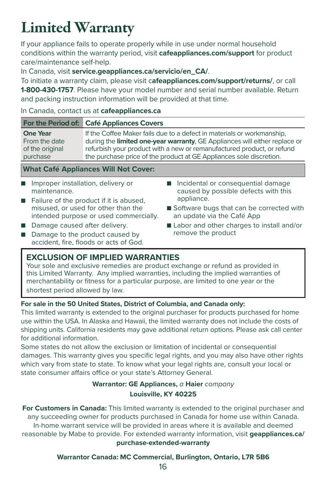## Limited Warranty

If your appliance fails to operate properly while in use under normal household conditions within the warranty period, visit **cafeappliances.com/support** for product care/maintenance self-help.

In Canada, visit **service.geappliances.ca/servicio/en\_CA/**.

To initiate a warranty claim, please visit c**afeappliances.com/support/returns/**, or call **1-800-430-1757**. Please have your model number and serial number available. Return and packing instruction information will be provided at that time.

#### In Canada, contact us at **cafeappliances.ca**

|                 | For the Period of: Café Appliances Covers                                  |
|-----------------|----------------------------------------------------------------------------|
| <b>One Year</b> | If the Coffee Maker fails due to a defect in materials or workmanship,     |
| From the date   | during the limited one-year warranty, GE Appliances will either replace or |
| of the original | refurbish your product with a new or remanufactured product, or refund     |
| purchase        | the purchase price of the product at GE Appliances sole discretion.        |

#### **What Café Appliances Will Not Cover:**

- Improper installation, delivery or maintenance.
- Failure of the product if it is abused misused, or used for other than the intended purpose or used commercially.
- Damage caused after delivery.
- Damage to the product caused by accident, fire, floods or acts of God.
- Incidental or consequential damage caused by possible defects with this appliance.
- Software bugs that can be corrected with an update via the Café App
- Labor and other charges to install and/or remove the product

#### **EXCLUSION OF IMPLIED WARRANTIES**

Your sole and exclusive remedies are product exchange or refund as provided in this Limited Warranty. Any implied warranties, including the implied warranties of merchantability or fitness for a particular purpose, are limited to one year or the shortest period allowed by law.

#### **For sale in the 50 United States, District of Columbia, and Canada only:**

This limited warranty is extended to the original purchaser for products purchased for home use within the USA. In Alaska and Hawaii, the limited warranty does not include the costs of shipping units. California residents may gave additional return options. Please ask call center for additional information.

Some states do not allow the exclusion or limitation of incidental or consequential damages. This warranty gives you specific legal rights, and you may also have other rights which vary from state to state. To know what your legal rights are, consult your local or state consumer affairs office or your state's Attorney General.

#### **Warrantor: GE Appliances,** a **Haier** company **Louisville, KY 40225**

**For Customers in Canada:** This limited warranty is extended to the original purchaser and any succeeding owner for products purchased in Canada for home use within Canada. In-home warrant service will be provided in areas where it is available and deemed reasonable by Mabe to provide. For extended warranty information, visit **geappliances.ca/ purchase-extended-warranty**

#### **Warrantor Canada: MC Commercial, Burlington, Ontario, L7R 5B6**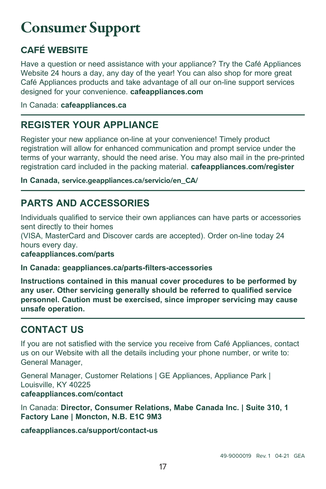## Consumer Support

#### **CAFÉ WEBSITE**

Have a question or need assistance with your appliance? Try the Café Appliances Website 24 hours a day, any day of the year! You can also shop for more great Café Appliances products and take advantage of all our on-line support services designed for your convenience. **cafeappliances.com**

In Canada: **cafeappliances.ca**

#### **REGISTER YOUR APPLIANCE**

Register your new appliance on-line at your convenience! Timely product registration will allow for enhanced communication and prompt service under the terms of your warranty, should the need arise. You may also mail in the pre-printed registration card included in the packing material. **cafeappliances.com/register**

**In Canada, service.geappliances.ca/servicio/en\_CA/**

#### **PARTS AND ACCESSORIES**

Individuals qualified to service their own appliances can have parts or accessories sent directly to their homes

(VISA, MasterCard and Discover cards are accepted). Order on-line today 24 hours every day.

**cafeappliances.com/parts**

**In Canada: geappliances.ca/parts-filters-accessories**

**Instructions contained in this manual cover procedures to be performed by any user. Other servicing generally should be referred to qualified service personnel. Caution must be exercised, since improper servicing may cause unsafe operation.**

#### **CONTACT US**

If you are not satisfied with the service you receive from Café Appliances, contact us on our Website with all the details including your phone number, or write to: General Manager,

General Manager, Customer Relations | GE Appliances, Appliance Park | Louisville, KY 40225 **cafeappliances.com/contact**

In Canada: **Director, Consumer Relations, Mabe Canada Inc. | Suite 310, 1 Factory Lane | Moncton, N.B. E1C 9M3**

**cafeappliances.ca/support/contact-us**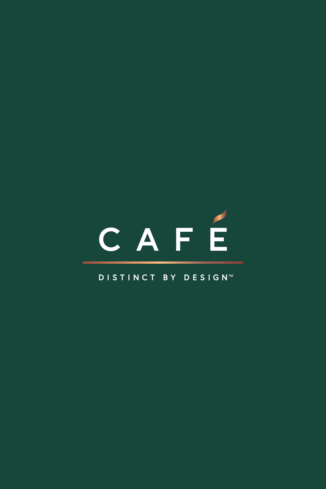# CAFÉ

#### DISTINCT BY DESIGN™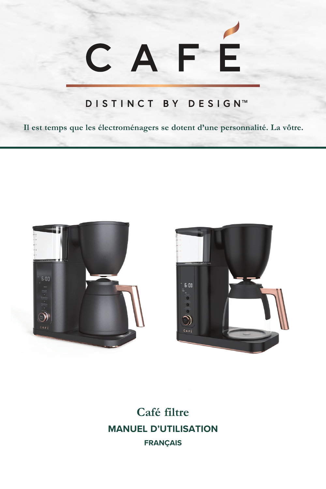# CAFE

#### DISTINCT BY DESIGN™

**Il est temps que les électroménagers se dotent d'une personnalité. La vôtre.** 





**Café filtre MANUEL D'UTILISATION FRANÇAIS**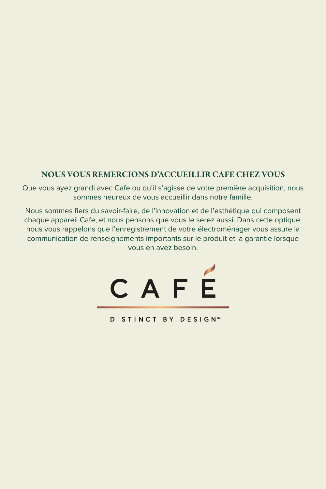#### NOUS VOUS REMERCIONS D'ACCUEILLIR CAFE CHEZ VOUS

Que vous ayez grandi avec Cafe ou qu'il s'agisse de votre première acquisition, nous sommes heureux de vous accueillir dans notre famille.

Nous sommes fiers du savoir-faire, de l'innovation et de l'esthétique qui composent chaque appareil Cafe, et nous pensons que vous le serez aussi. Dans cette optique, nous vous rappelons que l'enregistrement de votre électroménager vous assure la communication de renseignements importants sur le produit et la garantie lorsque vous en avez besoin.



DISTINCT BY DESIGN™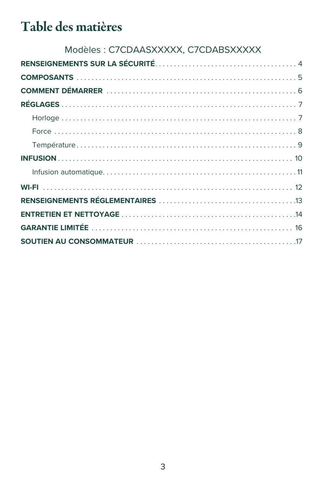## Table des matières

| Modèles : C7CDAASXXXXX, C7CDABSXXXXX |  |
|--------------------------------------|--|
|                                      |  |
|                                      |  |
|                                      |  |
|                                      |  |
|                                      |  |
|                                      |  |
|                                      |  |
|                                      |  |
|                                      |  |
|                                      |  |
|                                      |  |
|                                      |  |
|                                      |  |
|                                      |  |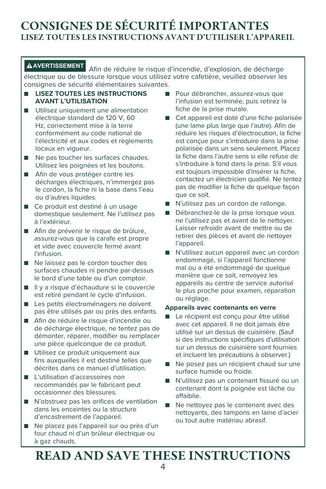#### CONSIGNES DE SÉCURITÉ IMPORTANTES LISEZ TOUTES LES INSTRUCTIONS AVANT D'UTILISER L'APPAREIL

**AVERTISSEMENT** Afin de réduire le risque d'incendie, d'explosion, de décharge électrique ou de blessure lorsque vous utilisez votre cafetière, veuillez observer les consignes de sécurité élémentaires suivantes.

- **LISEZ TOUTES LES INSTRUCTIONS AVANT L'UTILISATION**
- Utilisez uniquement une alimentation électrique standard de 120 V, 60 Hz, correctement mise à la terre conformément au code national de l'électricité et aux codes et règlements locaux en vigueur.
- Ne pas toucher les surfaces chaudes. Utilisez les poignées et les boutons.
- Afin de vous protéger contre les décharges électriques, n'immergez pas le cordon, la fiche ni la base dans l'eau ou d'autres liquides.
- Ce produit est destiné à un usage domestique seulement. Ne l'utilisez pas à l'extérieur.
- Afin de prévenir le risque de brûlure, assurez-vous que la carafe est propre et vide avec couvercle fermé avant l'infusion.
- Ne laissez pas le cordon toucher des surfaces chaudes ni pendre par-dessus le bord d'une table ou d'un comptoir.
- Il y a risque d'échaudure si le couvercle est retiré pendant le cycle d'infusion.
- Les petits électroménagers ne doivent pas être utilisés par ou près des enfants.
- Afin de réduire le risque d'incendie ou de décharge électrique, ne tentez pas de démonter, réparer, modifier ou remplacer une pièce quelconque de ce produit.
- Utilisez ce produit uniquement aux fins auxquelles il est destiné telles que décrites dans ce manuel d'utilisation.
- L'utilisation d'accessoires non recommandés par le fabricant peut occasionner des blessures.
- N'obstruez pas les orifices de ventilation dans les enceintes ou la structure d'encastrement de l'appareil.
- Ne placez pas l'appareil sur ou près d'un four chaud ni d'un brûleur électrique ou à gaz chauds.
- Pour débrancher, assurez-vous que l'infusion est terminée, puis retirez la fiche de la prise murale.
- Cet appareil est doté d'une fiche polarisée (une lame plus large que l'autre). Afin de réduire les risques d'électrocution, la fiche est conçue pour s'introduire dans la prise polarisée dans un sens seulement. Placez la fiche dans l'autre sens si elle refuse de s'introduire à fond dans la prise. S'il vous est toujours impossible d'insérer la fiche, contactez un électricien qualifié. Ne tentez pas de modifier la fiche de quelque façon que ce soit.
- N'utilisez pas un cordon de rallonge.
- Débranchez-le de la prise lorsque vous ne l'utilisez pas et avant de le nettoyer. Laisser refroidir avant de mettre ou de retirer des pièces et avant de nettoyer l'appareil.
- N'utilisez aucun appareil avec un cordon endommagé, si l'appareil fonctionne mal ou a été endommagé de quelque manière que ce soit, renvoyez les appareils au centre de service autorisé le plus proche pour examen, réparation ou réglage.

#### **Appareils avec contenants en verre**

- Le récipient est conçu pour être utilisé avec cet appareil. Il ne doit jamais être utilisé sur un dessus de cuisinière. (Sauf si des instructions spécifiques d'utilisation sur un dessus de cuisinière sont fournies et incluent les précautions à observer.)
- Ne posez pas un récipient chaud sur une surface humide ou froide.
- N'utilisez pas un contenant fissuré ou un contenant dont la poignée est lâche ou affaiblie.
- Ne nettoyez pas le contenant avec des nettoyants, des tampons en laine d'acier ou tout autre matériau abrasif.

## READ AND SAVE THESE INSTRUCTIONS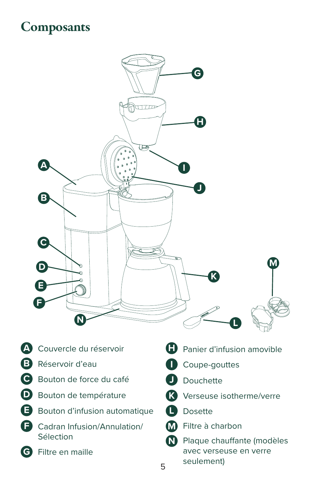## **Composants**



- **A** Couvercle du réservoir
- **B** Réservoir d'eau
- **C** Bouton de force du café
- **D** Bouton de température
- **E** Bouton d'infusion automatique
- **F** Cadran Infusion/Annulation/ Sélection
- **G** Filtre en maille
- **H** Panier d'infusion amovible
- **I** Coupe-gouttes
- **J** Douchette
- **K** Verseuse isotherme/verre
- **L** Dosette
- **M** Filtre à charbon
- **N** Plaque chauffante (modèles avec verseuse en verre seulement)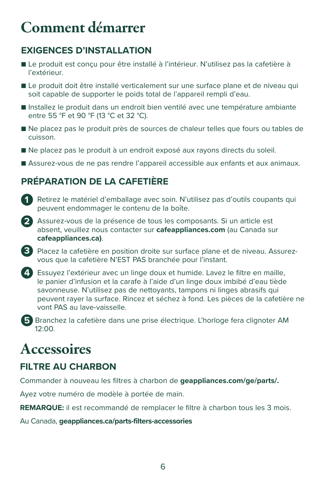## Comment démarrer

#### **EXIGENCES D'INSTALLATION**

- Le produit est conçu pour être installé à l'intérieur. N'utilisez pas la cafetière à l'extérieur.
- Le produit doit être installé verticalement sur une surface plane et de niveau qui soit capable de supporter le poids total de l'appareil rempli d'eau.
- Installez le produit dans un endroit bien ventilé avec une température ambiante entre 55 °F et 90 °F (13 °C et 32 °C).
- Ne placez pas le produit près de sources de chaleur telles que fours ou tables de cuisson.
- Ne placez pas le produit à un endroit exposé aux rayons directs du soleil.
- Assurez-vous de ne pas rendre l'appareil accessible aux enfants et aux animaux.

#### **PRÉPARATION DE LA CAFETIÈRE**

- **1** Retirez le matériel d'emballage avec soin. N'utilisez pas d'outils coupants qui peuvent endommager le contenu de la boîte.
- **2** Assurez-vous de la présence de tous les composants. Si un article est absent, veuillez nous contacter sur **cafeappliances.com** (au Canada sur **cafeappliances.ca)**.
- **3** Placez la cafetière en position droite sur surface plane et de niveau. Assurezvous que la cafetière N'EST PAS branchée pour l'instant.
- **4** Essuyez l'extérieur avec un linge doux et humide. Lavez le filtre en maille, le panier d'infusion et la carafe à l'aide d'un linge doux imbibé d'eau tiède savonneuse. N'utilisez pas de nettoyants, tampons ni linges abrasifs qui peuvent rayer la surface. Rincez et séchez à fond. Les pièces de la cafetière ne vont PAS au lave-vaisselle.
- **5** Branchez la cafetière dans une prise électrique. L'horloge fera clignoter AM 12:00.

## **Accessoires**

#### **FILTRE AU CHARBON**

Commander à nouveau les filtres à charbon de **geappliances.com/ge/parts/.** 

Ayez votre numéro de modèle à portée de main.

**REMARQUE:** il est recommandé de remplacer le filtre à charbon tous les 3 mois.

Au Canada, **geappliances.ca/parts-filters-accessories**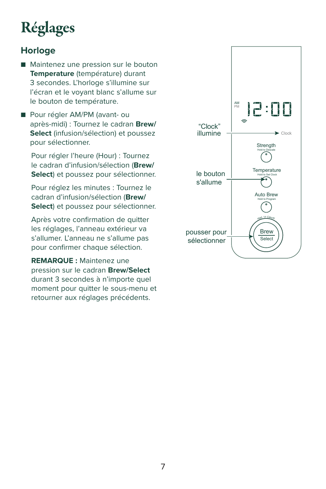## Réglages

#### **Horloge**

- Maintenez une pression sur le bouton **Temperature** (température) durant 3 secondes. L'horloge s'illumine sur l'écran et le voyant blanc s'allume sur le bouton de température.
- Pour régler AM/PM (avant- ou après-midi) : Tournez le cadran **Brew/ Select** (infusion/sélection) et poussez pour sélectionner.

Pour régler l'heure (Hour) : Tournez le cadran d'infusion/sélection (**Brew/ Select**) et poussez pour sélectionner.

Pour réglez les minutes : Tournez le cadran d'infusion/sélection (**Brew/ Select**) et poussez pour sélectionner.

Après votre confirmation de quitter les réglages, l'anneau extérieur va s'allumer. L'anneau ne s'allume pas pour confirmer chaque sélection.

**REMARQUE :** Maintenez une pression sur le cadran **Brew/Select** durant 3 secondes à n'importe quel moment pour quitter le sous-menu et retourner aux réglages précédents.

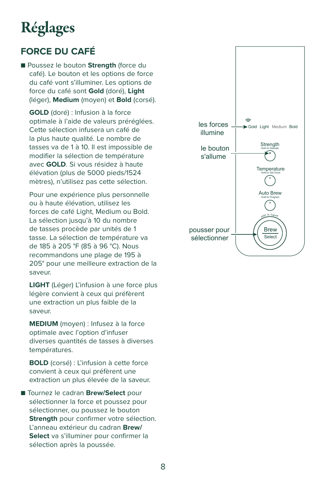## Réglages

#### **FORCE DU CAFÉ**

■ Poussez le bouton **Strength** (force du café). Le bouton et les options de force du café vont s'illuminer. Les options de force du café sont **Gold** (doré), **Light** (léger), **Medium** (moyen) et **Bold** (corsé).

**GOLD** (doré) : Infusion à la force optimale à l'aide de valeurs préréglées. Cette sélection infusera un café de la plus haute qualité. Le nombre de tasses va de 1 à 10. Il est impossible de modifier la sélection de température avec **GOLD**. Si vous résidez à haute élévation (plus de 5000 pieds/1524 mètres), n'utilisez pas cette sélection.

 Pour une expérience plus personnelle ou à haute élévation, utilisez les forces de café Light, Medium ou Bold. La sélection jusqu'à 10 du nombre de tasses procède par unités de 1 tasse. La sélection de température va de 185 à 205 °F (85 à 96 °C). Nous recommandons une plage de 195 à 205° pour une meilleure extraction de la saveur.

**LIGHT** (Léger) L'infusion à une force plus légère convient à ceux qui préfèrent une extraction un plus faible de la saveur.

**MEDIUM** (moyen) : Infusez à la force optimale avec l'option d'infuser diverses quantités de tasses à diverses températures.

**BOLD** (corsé) : L'infusion à cette force convient à ceux qui préfèrent une extraction un plus élevée de la saveur.

■ Tournez le cadran **Brew/Select** pour sélectionner la force et poussez pour sélectionner, ou poussez le bouton **Strength** pour confirmer votre sélection. L'anneau extérieur du cadran **Brew/ Select** va s'illuminer pour confirmer la sélection après la poussée.

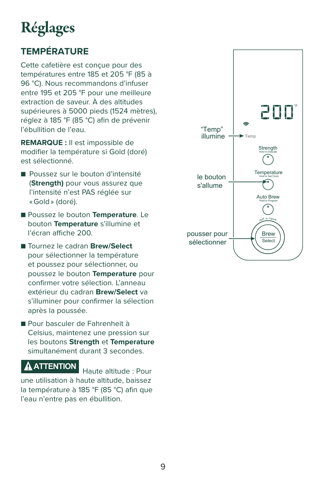## Réglages

### **TEMPÉRATURE**

Cette cafetière est conçue pour des températures entre 185 et 205 °F (85 à 96 °C). Nous recommandons d'infuser entre 195 et 205 °F pour une meilleure extraction de saveur. À des altitudes supérieures à 5000 pieds (1524 mètres), réglez à 185 °F (85 °C) afin de prévenir l'ébullition de l'eau.

**REMARQUE :** Il est impossible de modifier la température si Gold (doré) est sélectionné.

- Poussez sur le bouton d'intensité (**Strength)** pour vous assurez que l'intensité n'est PAS réglée sur « Gold » (doré).
- Poussez le bouton **Temperature**. Le bouton **Temperature** s'illumine et l'écran affiche 200.
- Tournez le cadran **Brew/Select** pour sélectionner la température et poussez pour sélectionner, ou poussez le bouton **Temperature** pour confirmer votre sélection. L'anneau extérieur du cadran **Brew/Select** va s'illuminer pour confirmer la sélection après la poussée.
- Pour basculer de Fahrenheit à Celsius, maintenez une pression sur les boutons **Strength** et **Temperature** simultanément durant 3 secondes.

#### **ATTENTION** Haute altitude : Pour

une utilisation à haute altitude, baissez la température à 185 °F (85 °C) afin que l'eau n'entre pas en ébullition.

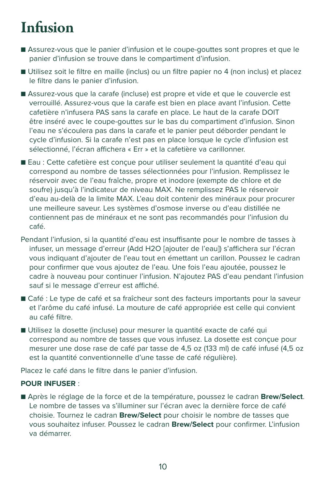## Infusion

- Assurez-vous que le panier d'infusion et le coupe-gouttes sont propres et que le panier d'infusion se trouve dans le compartiment d'infusion.
- Utilisez soit le filtre en maille (inclus) ou un filtre papier no 4 (non inclus) et placez le filtre dans le panier d'infusion.
- Assurez-vous que la carafe (incluse) est propre et vide et que le couvercle est verrouillé. Assurez-vous que la carafe est bien en place avant l'infusion. Cette cafetière n'infusera PAS sans la carafe en place. Le haut de la carafe DOIT être inséré avec le coupe-gouttes sur le bas du compartiment d'infusion. Sinon l'eau ne s'écoulera pas dans la carafe et le panier peut déborder pendant le cycle d'infusion. Si la carafe n'est pas en place lorsque le cycle d'infusion est sélectionné, l'écran affichera « Err » et la cafetière va carillonner.
- Eau : Cette cafetière est concue pour utiliser seulement la quantité d'eau qui correspond au nombre de tasses sélectionnées pour l'infusion. Remplissez le réservoir avec de l'eau fraîche, propre et inodore (exempte de chlore et de soufre) jusqu'à l'indicateur de niveau MAX. Ne remplissez PAS le réservoir d'eau au-delà de la limite MAX. L'eau doit contenir des minéraux pour procurer une meilleure saveur. Les systèmes d'osmose inverse ou d'eau distillée ne contiennent pas de minéraux et ne sont pas recommandés pour l'infusion du café.
- Pendant l'infusion, si la quantité d'eau est insuffisante pour le nombre de tasses à infuser, un message d'erreur (Add H2O [ajouter de l'eau]) s'affichera sur l'écran vous indiquant d'ajouter de l'eau tout en émettant un carillon. Poussez le cadran pour confirmer que vous ajoutez de l'eau. Une fois l'eau ajoutée, poussez le cadre à nouveau pour continuer l'infusion. N'ajoutez PAS d'eau pendant l'infusion sauf si le message d'erreur est affiché.
- Café : Le type de café et sa fraîcheur sont des facteurs importants pour la saveur et l'arôme du café infusé. La mouture de café appropriée est celle qui convient au café filtre.
- Utilisez la dosette (incluse) pour mesurer la quantité exacte de café qui correspond au nombre de tasses que vous infusez. La dosette est conçue pour mesurer une dose rase de café par tasse de 4,5 oz (133 ml) de café infusé (4,5 oz est la quantité conventionnelle d'une tasse de café régulière).

Placez le café dans le filtre dans le panier d'infusion.

#### **POUR INFUSER** :

■ Après le réglage de la force et de la température, poussez le cadran **Brew/Select**. Le nombre de tasses va s'illuminer sur l'écran avec la dernière force de café choisie. Tournez le cadran **Brew/Select** pour choisir le nombre de tasses que vous souhaitez infuser. Poussez le cadran **Brew/Select** pour confirmer. L'infusion va démarrer.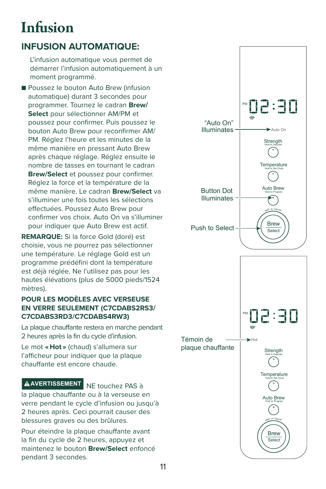## Infusion

#### **INFUSION AUTOMATIQUE:**

 L'infusion automatique vous permet de démarrer l'infusion automatiquement à un moment programmé.

■ Poussez le bouton Auto Brew (infusion automatique) durant 3 secondes pour programmer. Tournez le cadran **Brew/ Select** pour sélectionner AM/PM et poussez pour confirmer. Puis poussez le bouton Auto Brew pour reconfirmer AM/ PM. Réglez l'heure et les minutes de la même manière en pressant Auto Brew après chaque réglage. Réglez ensuite le nombre de tasses en tournant le cadran **Brew/Select** et poussez pour confirmer. Réglez la force et la température de la même manière. Le cadran **Brew/Select** va s'illuminer une fois toutes les sélections effectuées. Poussez Auto Brew pour confirmer vos choix. Auto On va s'illuminer pour indiquer que Auto Brew est actif.

**REMARQUE:** Si la force Gold (doré) est choisie, vous ne pourrez pas sélectionner une température. Le réglage Gold est un programme prédéfini dont la température est déjà réglée. Ne l'utilisez pas pour les hautes élévations (plus de 5000 pieds/1524 mètres).

#### **POUR LES MODÈLES AVEC VERSEUSE EN VERRE SEULEMENT (C7CDABS2RS3/ C7CDABS3RD3/C7CDABS4RW3)**

La plaque chauffante restera en marche pendant 2 heures après la fin du cycle d'infusion.

Le mot **« Hot »** (chaud) s'allumera sur l'afficheur pour indiquer que la plaque chauffante est encore chaude.

#### **AVERTISSEMENT** NE touchez PAS à

la plaque chauffante ou à la verseuse en verre pendant le cycle d'infusion ou jusqu'à 2 heures après. Ceci pourrait causer des blessures graves ou des brûlures.

Pour éteindre la plaque chauffante avant la fin du cycle de 2 heures, appuyez et maintenez le bouton **Brew/Select** enfoncé pendant 3 secondes.

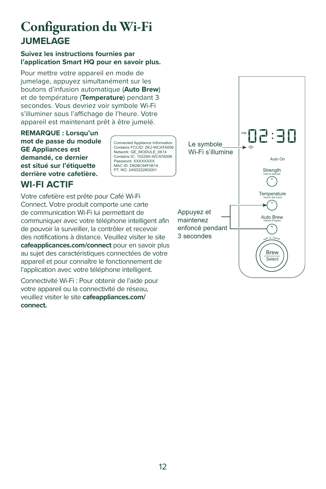## Configuration du Wi-Fi **JUMELAGE**

#### **Suivez les instructions fournies par l'application Smart HQ pour en savoir plus.**

Pour mettre votre appareil en mode de jumelage, appuyez simultanément sur les boutons d'infusion automatique (**Auto Brew**) et de température (**Temperature**) pendant 3 secondes. Vous devriez voir symbole Wi-Fi s'illuminer sous l'affichage de l'heure. Votre appareil est maintenant prêt à être jumelé.

**REMARQUE : Lorsqu'un mot de passe du module GE Appliances est demandé, ce dernier est situé sur l'étiquette derrière votre cafetière.**

#### **WI-FI ACTIF**

Connected Appliance Information Contains FCCID: ZKJ-WCATA006 Network: GE\_MODULE\_0614 Contains IC: 10229A-WCATA006 Password: XXXXXXXX MAC ID: D828C94F0614 PT. NO. 245D2228G001

Votre cafetière est prête pour Café Wi-Fi Connect. Votre produit comporte une carte de communication Wi-Fi lui permettant de communiquer avec votre téléphone intelligent afin de pouvoir la surveiller, la contrôler et recevoir des notifications à distance. Veuillez visiter le site **cafeapplicances.com/connect** pour en savoir plus au sujet des caractéristiques connectées de votre appareil et pour connaître le fonctionnement de l'application avec votre téléphone intelligent.

Connectivité Wi-Fi : Pour obtenir de l'aide pour votre appareil ou la connectivité de réseau, veuillez visiter le site **cafeappliances.com/ connect.**

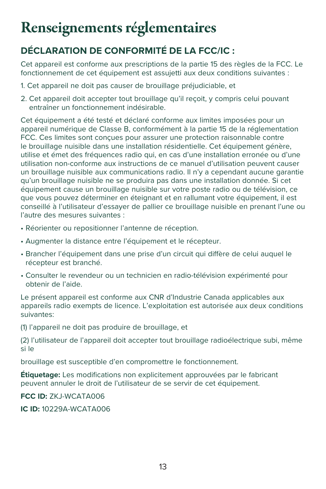## Renseignements réglementaires

#### **DÉCLARATION DE CONFORMITÉ DE LA FCC/IC :**

Cet appareil est conforme aux prescriptions de la partie 15 des règles de la FCC. Le fonctionnement de cet équipement est assujetti aux deux conditions suivantes :

- 1. Cet appareil ne doit pas causer de brouillage préjudiciable, et
- 2. Cet appareil doit accepter tout brouillage qu'il reçoit, y compris celui pouvant entraîner un fonctionnement indésirable.

Cet équipement a été testé et déclaré conforme aux limites imposées pour un appareil numérique de Classe B, conformément à la partie 15 de la réglementation FCC. Ces limites sont conçues pour assurer une protection raisonnable contre le brouillage nuisible dans une installation résidentielle. Cet équipement génère, utilise et émet des fréquences radio qui, en cas d'une installation erronée ou d'une utilisation non-conforme aux instructions de ce manuel d'utilisation peuvent causer un brouillage nuisible aux communications radio. Il n'y a cependant aucune garantie qu'un brouillage nuisible ne se produira pas dans une installation donnée. Si cet équipement cause un brouillage nuisible sur votre poste radio ou de télévision, ce que vous pouvez déterminer en éteignant et en rallumant votre équipement, il est conseillé à l'utilisateur d'essayer de pallier ce brouillage nuisible en prenant l'une ou l'autre des mesures suivantes :

- Réorienter ou repositionner l'antenne de réception.
- Augmenter la distance entre l'équipement et le récepteur.
- Brancher l'équipement dans une prise d'un circuit qui diffère de celui auquel le récepteur est branché.
- Consulter le revendeur ou un technicien en radio-télévision expérimenté pour obtenir de l'aide.

Le présent appareil est conforme aux CNR d'Industrie Canada applicables aux appareils radio exempts de licence. L'exploitation est autorisée aux deux conditions suivantes:

(1) l'appareil ne doit pas produire de brouillage, et

(2) l'utilisateur de l'appareil doit accepter tout brouillage radioélectrique subi, même si le

brouillage est susceptible d'en compromettre le fonctionnement.

**Étiquetage:** Les modifications non explicitement approuvées par le fabricant peuvent annuler le droit de l'utilisateur de se servir de cet équipement.

**FCC ID:** ZKJ-WCATA006

**IC ID:** 10229A-WCATA006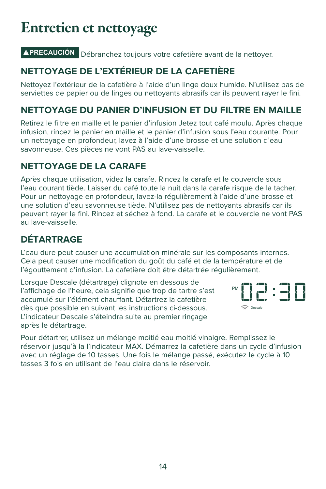## Entretien et nettoyage

#### **PRECAUCIÓN** Débranchez toujours votre cafetière avant de la nettoyer.

#### **NETTOYAGE DE L'EXTÉRIEUR DE LA CAFETIÈRE**

Nettoyez l'extérieur de la cafetière à l'aide d'un linge doux humide. N'utilisez pas de serviettes de papier ou de linges ou nettoyants abrasifs car ils peuvent rayer le fini.

#### **NETTOYAGE DU PANIER D'INFUSION ET DU FILTRE EN MAILLE**

Retirez le filtre en maille et le panier d'infusion Jetez tout café moulu. Après chaque infusion, rincez le panier en maille et le panier d'infusion sous l'eau courante. Pour un nettoyage en profondeur, lavez à l'aide d'une brosse et une solution d'eau savonneuse. Ces pièces ne vont PAS au lave-vaisselle.

#### **NETTOYAGE DE LA CARAFE**

Après chaque utilisation, videz la carafe. Rincez la carafe et le couvercle sous l'eau courant tiède. Laisser du café toute la nuit dans la carafe risque de la tacher. Pour un nettoyage en profondeur, lavez-la régulièrement à l'aide d'une brosse et une solution d'eau savonneuse tiède. N'utilisez pas de nettoyants abrasifs car ils peuvent rayer le fini. Rincez et séchez à fond. La carafe et le couvercle ne vont PAS au lave-vaisselle.

#### **DÉTARTRAGE**

L'eau dure peut causer une accumulation minérale sur les composants internes. Cela peut causer une modification du goût du café et de la température et de l'égouttement d'infusion. La cafetière doit être détartrée régulièrement.

Lorsque Descale (détartrage) clignote en dessous de l'affichage de l'heure, cela signifie que trop de tartre s'est accumulé sur l'élément chauffant. Détartrez la cafetière dès que possible en suivant les instructions ci-dessous. L'indicateur Descale s'éteindra suite au premier rinçage après le détartrage.



Pour détartrer, utilisez un mélange moitié eau moitié vinaigre. Remplissez le réservoir jusqu'à la l'indicateur MAX. Démarrez la cafetière dans un cycle d'infusion avec un réglage de 10 tasses. Une fois le mélange passé, exécutez le cycle à 10 tasses 3 fois en utilisant de l'eau claire dans le réservoir.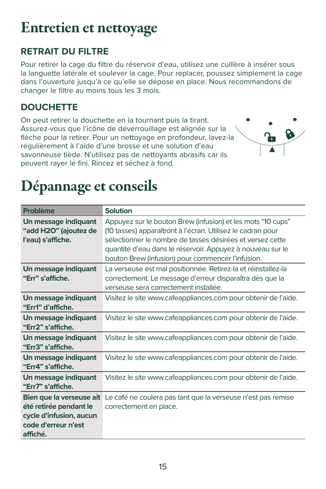## Entretien et nettoyage

#### **RETRAIT DU FILTRE**

Pour retirer la cage du filtre du réservoir d'eau, utilisez une cuillère à insérer sous la languette latérale et soulever la cage. Pour replacer, poussez simplement la cage dans l'ouverture jusqu'à ce qu'elle se dépose en place. Nous recommandons de changer le filtre au moins tous les 3 mois.

#### **DOUCHETTE**

On peut retirer la douchette en la tournant puis la tirant. Assurez-vous que l'icône de déverrouillage est alignée sur la flèche pour la retirer. Pour un nettoyage en profondeur, lavez-la régulièrement à l'aide d'une brosse et une solution d'eau savonneuse tiède. N'utilisez pas de nettoyants abrasifs car ils peuvent rayer le fini. Rincez et séchez à fond.



## Dépannage et conseils

| <b>Problème</b>                                                                                                  | <b>Solution</b>                                                                                                                                                                                                                                                                                            |
|------------------------------------------------------------------------------------------------------------------|------------------------------------------------------------------------------------------------------------------------------------------------------------------------------------------------------------------------------------------------------------------------------------------------------------|
| Un message indiquant<br>"add H2O" (ajoutez de<br>l'eau) s'affiche.                                               | Appuyez sur le bouton Brew (infusion) et les mots "10 cups"<br>(10 tasses) apparaîtront à l'écran. Utilisez le cadran pour<br>sélectionner le nombre de tasses désirées et versez cette<br>quantité d'eau dans le réservoir. Appuyez à nouveau sur le<br>bouton Brew (infusion) pour commencer l'infusion. |
| Un message indiquant<br>"Err" s'affiche.                                                                         | La verseuse est mal positionnée. Retirez-la et réinstallez-la<br>correctement. Le message d'erreur disparaîtra dès que la<br>verseuse sera correctement installée.                                                                                                                                         |
| Un message indiquant<br>"Err1" d'affiche.                                                                        | Visitez le site www.cafeappliances.com pour obtenir de l'aide.                                                                                                                                                                                                                                             |
| Un message indiguant<br>"Err2" s'affiche.                                                                        | Visitez le site www.cafeappliances.com pour obtenir de l'aide.                                                                                                                                                                                                                                             |
| Un message indiquant<br>"Err3" s'affiche.                                                                        | Visitez le site www.cafeappliances.com pour obtenir de l'aide.                                                                                                                                                                                                                                             |
| Un message indiguant<br>"Err4" s'affiche.                                                                        | Visitez le site www.cafeappliances.com pour obtenir de l'aide.                                                                                                                                                                                                                                             |
| Un message indiguant<br>"Err7" s'affiche.                                                                        | Visitez le site www.cafeappliances.com pour obtenir de l'aide.                                                                                                                                                                                                                                             |
| Bien que la verseuse ait<br>été retirée pendant le<br>cycle d'infusion, aucun<br>code d'erreur n'est<br>affiché. | Le café ne coulera pas tant que la verseuse n'est pas remise<br>correctement en place.                                                                                                                                                                                                                     |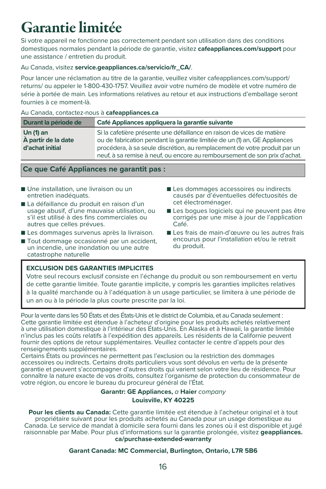## Garantie limitée

Si votre appareil ne fonctionne pas correctement pendant son utilisation dans des conditions domestiques normales pendant la période de garantie, visitez **cafeappliances.com/support** pour une assistance / entretien du produit.

#### Au Canada, visitez **service.geappliances.ca/servicio/fr\_CA/**.

Pour lancer une réclamation au titre de la garantie, veuillez visiter cafeappliances.com/support/ returns/ ou appeler le 1-800-430-1757. Veuillez avoir votre numéro de modèle et votre numéro de série à portée de main. Les informations relatives au retour et aux instructions d'emballage seront fournies à ce moment-là.

#### Au Canada, contactez-nous à **cafeappliances.ca**

| Durant la période de                                  | Café Appliances appliquera la garantie suivante                                                                                                                                                                                                                                                               |
|-------------------------------------------------------|---------------------------------------------------------------------------------------------------------------------------------------------------------------------------------------------------------------------------------------------------------------------------------------------------------------|
| Un $(1)$ an<br>À partir de la date<br>d'achat initial | Si la cafetière présente une défaillance en raison de vices de matière<br>ou de fabrication pendant la garantie limitée de un (1) an, GE Appliances<br>procédera, à sa seule discrétion, au remplacement de votre produit par un<br>neuf, à sa remise à neuf, ou encore au remboursement de son prix d'achat. |

#### **Ce que Café Appliances ne garantit pas :**

- Une installation, une livraison ou un entretien inadéquats.
- La défaillance du produit en raison d'un usage abusif, d'une mauvaise utilisation, ou s'il est utilisé à des fins commerciales ou autres que celles prévues.
- Les dommages survenus après la livraison.
- Tout dommage occasionné par un accident, un incendie, une inondation ou une autre catastrophe naturelle
- Les dommages accessoires ou indirects causés par d'éventuelles défectuosités de cet électroménager.
- Les boques logiciels qui ne peuvent pas être corrigés par une mise à jour de l'application Café.
- Les frais de main-d'œuvre ou les autres frais encourus pour l'installation et/ou le retrait du produit.

#### **EXCLUSION DES GARANTIES IMPLICITES**

Votre seul recours exclusif consiste en l'échange du produit ou son remboursement en vertu de cette garantie limitée. Toute garantie implicite, y compris les garanties implicites relatives à la qualité marchande ou à l'adéquation à un usage particulier, se limitera à une période de un an ou à la période la plus courte prescrite par la loi.

Pour la vente dans les 50 États et des États-Unis et le district de Columbia, et au Canada seulement : Cette garantie limitée est étendue à l'acheteur d'origine pour les produits achetés relativement à une utilisation domestique à l'intérieur des États-Unis. En Alaska et à Hawaii, la garantie limitée n'inclus pas les coûts relatifs à l'expédition des appareils. Les résidents de la Californie peuvent fournir des options de retour supplémentaires. Veuillez contacter le centre d'appels pour des renseignements supplémentaires.

Certains États ou provinces ne permettent pas l'exclusion ou la restriction des dommages accessoires ou indirects. Certains droits particuliers vous sont dévolus en vertu de la présente garantie et peuvent s'accompagner d'autres droits qui varient selon votre lieu de résidence. Pour connaître la nature exacte de vos droits, consultez l'organisme de protection du consommateur de votre région, ou encore le bureau du procureur général de l'État.

#### **Garantr: GE Appliances,** a **Haier** company **Louisville, KY 40225**

**Pour les clients au Canada:** Cette garantie limitée est étendue à l'acheteur original et à tout propriétaire suivant pour les produits achetés au Canada pour un usage domestique au Canada. Le service de mandat à domicile sera fourni dans les zones où il est disponible et jugé raisonnable par Mabe. Pour plus d'informations sur la garantie prolongée, visitez **geappliances. ca/purchase-extended-warranty**

#### **Garant Canada: MC Commercial, Burlington, Ontario, L7R 5B6**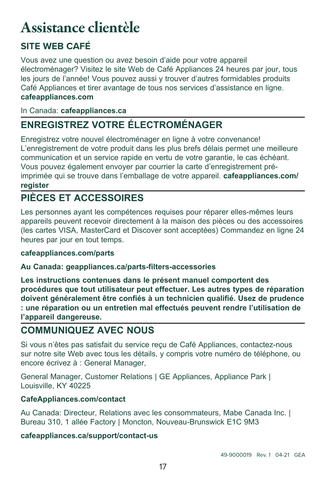## Assistance clientèle

#### **SITE WEB CAFÉ**

Vous avez une question ou avez besoin d'aide pour votre appareil électroménager? Visitez le site Web de Café Appliances 24 heures par jour, tous les jours de l'année! Vous pouvez aussi y trouver d'autres formidables produits Café Appliances et tirer avantage de tous nos services d'assistance en ligne. **cafeappliances.com**

#### In Canada: **cafeappliances.ca**

### **ENREGISTREZ VOTRE ÉLECTROMÉNAGER**

Enregistrez votre nouvel électroménager en ligne à votre convenance! L'enregistrement de votre produit dans les plus brefs délais permet une meilleure communication et un service rapide en vertu de votre garantie, le cas échéant. Vous pouvez également envoyer par courrier la carte d'enregistrement préimprimée qui se trouve dans l'emballage de votre appareil. **cafeappliances.com/ register**

#### **PIÈCES ET ACCESSOIRES**

Les personnes ayant les compétences requises pour réparer elles-mêmes leurs appareils peuvent recevoir directement à la maison des pièces ou des accessoires (les cartes VISA, MasterCard et Discover sont acceptées) Commandez en ligne 24 heures par jour en tout temps.

#### **cafeappliances.com/parts**

#### **Au Canada: geappliances.ca/parts-filters-accessories**

**Les instructions contenues dans le présent manuel comportent des procédures que tout utilisateur peut effectuer. Les autres types de réparation doivent généralement être confiés à un technicien qualifié. Usez de prudence : une réparation ou un entretien mal effectués peuvent rendre l'utilisation de l'appareil dangereuse.** 

#### **COMMUNIQUEZ AVEC NOUS**

Si vous n'êtes pas satisfait du service reçu de Café Appliances, contactez-nous sur notre site Web avec tous les détails, y compris votre numéro de téléphone, ou encore écrivez à : General Manager,

General Manager, Customer Relations | GE Appliances, Appliance Park | Louisville, KY 40225

#### **CafeAppliances.com/contact**

Au Canada: Directeur, Relations avec les consommateurs, Mabe Canada Inc. | Bureau 310, 1 allée Factory | Moncton, Nouveau-Brunswick E1C 9M3

#### **cafeappliances.ca/support/contact-us**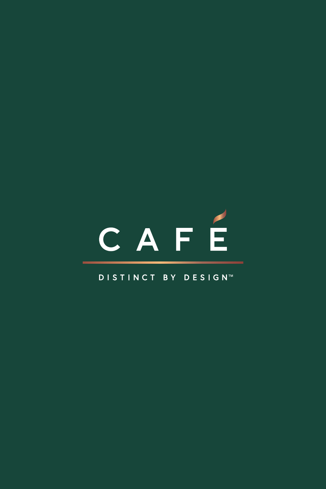# CAFÉ

#### DISTINCT BY DESIGN™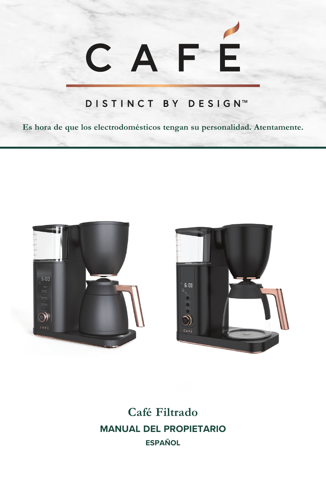# CAFE

#### DISTINCT BY DESIGN™

**Es hora de que los electrodomésticos tengan su personalidad. Atentamente.**





**Café Filtrado MANUAL DEL PROPIETARIO ESPAÑOL**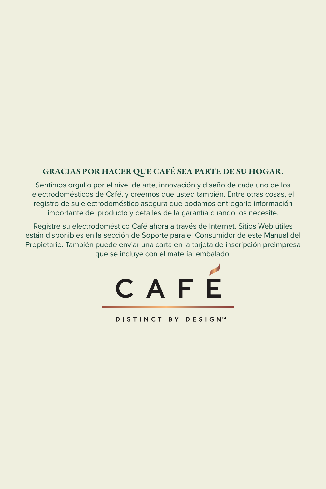#### GRACIAS POR HACER QUE CAFÉ SEA PARTE DE SU HOGAR.

Sentimos orgullo por el nivel de arte, innovación y diseño de cada uno de los electrodomésticos de Café, y creemos que usted también. Entre otras cosas, el registro de su electrodoméstico asegura que podamos entregarle información importante del producto y detalles de la garantía cuando los necesite.

Registre su electrodoméstico Café ahora a través de Internet. Sitios Web útiles están disponibles en la sección de Soporte para el Consumidor de este Manual del Propietario. También puede enviar una carta en la tarjeta de inscripción preimpresa que se incluye con el material embalado.



**DISTINCT BY DESIGN™**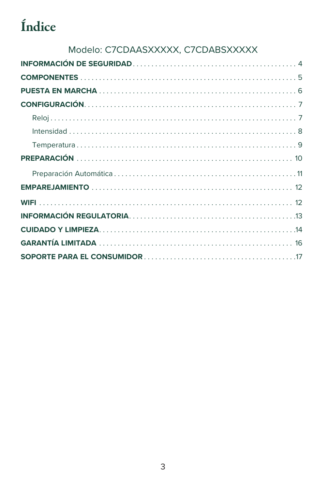## Índice

#### Modelo: C7CDAASXXXXX, C7CDABSXXXXX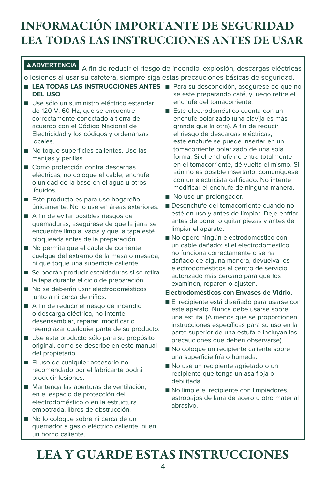## INFORMACIÓN IMPORTANTE DE SEGURIDAD LEA TODAS LAS INSTRUCCIONES ANTES DE USAR

**ADVERTENCIA** A fin de reducir el riesgo de incendio, explosión, descargas eléctricas o lesiones al usar su cafetera, siempre siga estas precauciones básicas de seguridad.

- LE**A TODAS LAS INSTRUCCIONES ANTES** Para su desconexión, asegúrese de que no **DEL USO**
- Use sólo un suministro eléctrico estándar de 120 V, 60 Hz, que se encuentre correctamente conectado a tierra de acuerdo con el Código Nacional de Electricidad y los códigos y ordenanzas locales.
- No toque superficies calientes. Use las manijas y perillas.
- Como protección contra descargas eléctricas, no coloque el cable, enchufe o unidad de la base en el agua u otros líquidos.
- Este producto es para uso hogareño únicamente. No lo use en áreas exteriores.
- A fin de evitar posibles riesgos de quemaduras, asegúrese de que la jarra se encuentre limpia, vacía y que la tapa esté bloqueada antes de la preparación.
- No permita que el cable de corriente cuelgue del extremo de la mesa o mesada, ni que toque una superficie caliente.
- Se podrán producir escaldaduras si se retira la tapa durante el ciclo de preparación.
- No se deberán usar electrodomésticos junto a ni cerca de niños.
- A fin de reducir el riesgo de incendio o descarga eléctrica, no intente desensamblar, reparar, modificar o reemplazar cualquier parte de su producto.
- Use este producto sólo para su propósito original, como se describe en este manual del propietario.
- El uso de cualquier accesorio no recomendado por el fabricante podrá producir lesiones.
- Mantenga las aberturas de ventilación, en el espacio de protección del electrodoméstico o en la estructura empotrada, libres de obstrucción.
- No lo cologue sobre ni cerca de un quemador a gas o eléctrico caliente, ni en un horno caliente.
- se esté preparando café, y luego retire el enchufe del tomacorriente.
- Este electrodoméstico cuenta con un enchufe polarizado (una clavija es más grande que la otra). A fin de reducir el riesgo de descargas eléctricas, este enchufe se puede insertar en un tomacorriente polarizado de una sola forma. Si el enchufe no entra totalmente en el tomacorriente, dé vuelta el mismo. Si aún no es posible insertarlo, comuníquese con un electricista calificado. No intente modificar el enchufe de ninguna manera.
- No use un prolongador.
- Desenchufe del tomacorriente cuando no esté en uso y antes de limpiar. Deje enfriar antes de poner o quitar piezas y antes de limpiar el aparato.
- No opere ningún electrodoméstico con un cable dañado; si el electrodoméstico no funciona correctamente o se ha dañado de alguna manera, devuelva los electrodomésticos al centro de servicio autorizado más cercano para que los examinen, reparen o ajusten.

#### **Electrodomésticos con Envases de Vidrio.**

- El recipiente está diseñado para usarse con este aparato. Nunca debe usarse sobre una estufa. (A menos que se proporcionen instrucciones específicas para su uso en la parte superior de una estufa e incluyan las precauciones que deben observarse).
- No coloque un recipiente caliente sobre una superficie fría o húmeda.
- No use un recipiente agrietado o un recipiente que tenga un asa floja o debilitada.
- No limpie el recipiente con limpiadores, estropajos de lana de acero u otro material abrasivo.

## LEA Y GUARDE ESTAS INSTRUCCIONES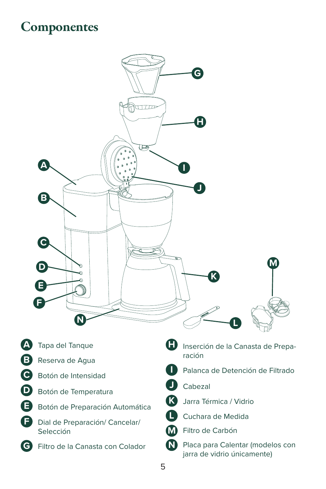## **Componentes**

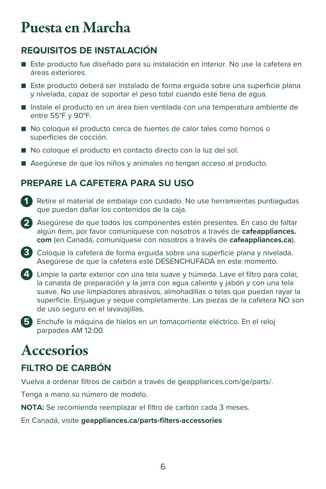## Puesta en Marcha

#### **REQUISITOS DE INSTALACIÓN**

- Este producto fue diseñado para su instalación en interior. No use la cafetera en áreas exteriores.
- Este producto deberá ser instalado de forma erguida sobre una superficie plana y nivelada, capaz de soportar el peso total cuando esté llena de agua.
- Instale el producto en un área bien ventilada con una temperatura ambiente de entre 55°F y 90°F.
- No coloque el producto cerca de fuentes de calor tales como hornos o superficies de cocción.
- No coloque el producto en contacto directo con la luz del sol.
- Asegúrese de que los niños y animales no tengan acceso al producto.

#### **PREPARE LA CAFETERA PARA SU USO**

- **1** Retire el material de embalaje con cuidado. No use herramientas puntiagudas que puedan dañar los contenidos de la caja.
- **2** Asegúrese de que todos los componentes estén presentes. En caso de faltar algún ítem, por favor comuníquese con nosotros a través de **cafeappliances. com** (en Canadá, comuníquese con nosotros a través de **cafeappliances.ca**).
- **3** Coloque la cafetera de forma erguida sobre una superficie plana y nivelada. Asegúrese de que la cafetera esté DESENCHUFADA en este momento.
- **4** Limpie la parte exterior con una tela suave y húmeda. Lave el filtro para colar, la canasta de preparación y la jarra con agua caliente y jabón y con una tela suave. No use limpiadores abrasivos, almohadillas o telas que puedan rayar la superficie. Enjuague y seque completamente. Las piezas de la cafetera NO son de uso seguro en el lavavajillas.
- **5** Enchufe la máquina de hielos en un tomacorriente eléctrico. En el reloj parpadea AM 12:00.

## **Accesorios**

#### **FILTRO DE CARBÓN**

Vuelva a ordenar filtros de carbón a través de geappliances.com/ge/parts/.

Tenga a mano su número de modelo.

**NOTA:** Se recomienda reemplazar el filtro de carbón cada 3 meses.

En Canadá, visite **geappliances.ca/parts-filters-accessories**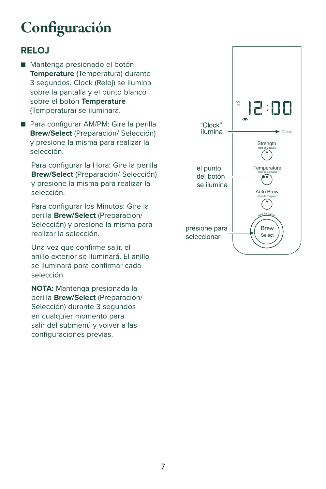## Configuración

#### **RELOJ**

- Mantenga presionado el botón **Temperature** (Temperatura) durante 3 segundos. Clock (Reloj) se ilumina sobre la pantalla y el punto blanco sobre el botón **Temperature** (Temperatura) se iluminará.
- Para configurar AM/PM: Gire la perilla **Brew/Select** (Preparación/ Selección) y presione la misma para realizar la selección.

Para configurar la Hora: Gire la perilla **Brew/Select** (Preparación/ Selección) y presione la misma para realizar la selección.

Para configurar los Minutos: Gire la perilla **Brew/Select** (Preparación/ Selección) y presione la misma para realizar la selección.

Una vez que confirme salir, el anillo exterior se iluminará. El anillo se iluminará para confirmar cada selección.

**NOTA:** Mantenga presionada la perilla **Brew/Select** (Preparación/ Selección) durante 3 segundos en cualquier momento para salir del submenú y volver a las configuraciones previas.

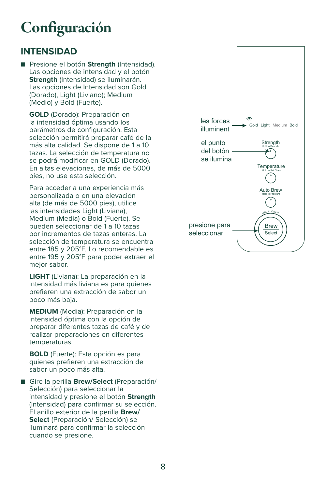## **Configuración**

#### **INTENSIDAD**

■ Presione el botón **Strength** (Intensidad). Las opciones de intensidad y el botón **Strength** (Intensidad) se iluminarán. Las opciones de Intensidad son Gold (Dorado), Light (Liviano); Medium (Medio) y Bold (Fuerte).

**GOLD** (Dorado): Preparación en la intensidad óptima usando los parámetros de configuración. Esta selección permitirá preparar café de la más alta calidad. Se dispone de 1 a 10 tazas. La selección de temperatura no se podrá modificar en GOLD (Dorado). En altas elevaciones, de más de 5000 pies, no use esta selección.

 Para acceder a una experiencia más personalizada o en una elevación alta (de más de 5000 pies), utilice las intensidades Light (Liviana), Medium (Media) o Bold (Fuerte). Se pueden seleccionar de 1 a 10 tazas por incrementos de tazas enteras. La selección de temperatura se encuentra entre 185 y 205°F. Lo recomendable es entre 195 y 205°F para poder extraer el mejor sabor.

**LIGHT** (Liviana): La preparación en la intensidad más liviana es para quienes prefieren una extracción de sabor un poco más baja.

**MEDIUM** (Media): Preparación en la intensidad óptima con la opción de preparar diferentes tazas de café y de realizar preparaciones en diferentes temperaturas.

**BOLD** (Fuerte): Esta opción es para quienes prefieren una extracción de sabor un poco más alta.

■ Gire la perilla **Brew/Select** (Preparación/ Selección) para seleccionar la intensidad y presione el botón **Strength** (Intensidad) para confirmar su selección. El anillo exterior de la perilla **Brew/ Select** (Preparación/ Selección) se iluminará para confirmar la selección cuando se presione.

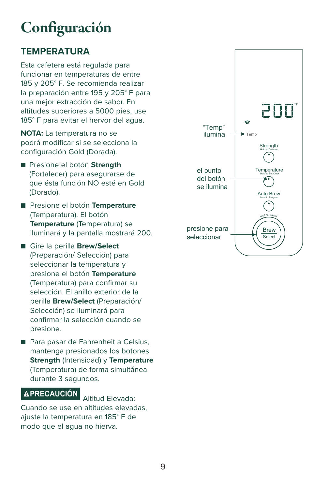## Configuración

#### **TEMPERATURA**

Esta cafetera está regulada para funcionar en temperaturas de entre 185 y 205° F. Se recomienda realizar la preparación entre 195 y 205° F para una mejor extracción de sabor. En altitudes superiores a 5000 pies, use 185° F para evitar el hervor del agua.

**NOTA:** La temperatura no se podrá modificar si se selecciona la configuración Gold (Dorada).

- Presione el botón **Strength** (Fortalecer) para asegurarse de que ésta función NO esté en Gold (Dorado).
- Presione el botón **Temperature** (Temperatura). El botón **Temperature** (Temperatura) se iluminará y la pantalla mostrará 200.
- Gire la perilla **Brew/Select** (Preparación/ Selección) para seleccionar la temperatura y presione el botón **Temperature** (Temperatura) para confirmar su selección. El anillo exterior de la perilla **Brew/Select** (Preparación/ Selección) se iluminará para confirmar la selección cuando se presione.
- Para pasar de Fahrenheit a Celsius, mantenga presionados los botones **Strength** (Intensidad) y **Temperature** (Temperatura) de forma simultánea durante 3 segundos.

#### **PRECAUCIÓN** Altitud Elevada:

Cuando se use en altitudes elevadas, ajuste la temperatura en 185° F de modo que el agua no hierva.

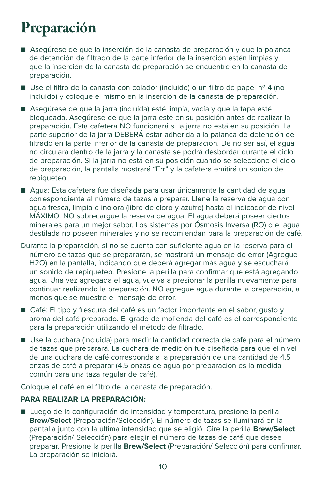## Preparación

- Asegúrese de que la inserción de la canasta de preparación y que la palanca de detención de filtrado de la parte inferior de la inserción estén limpias y que la inserción de la canasta de preparación se encuentre en la canasta de preparación.
- Use el filtro de la canasta con colador (incluido) o un filtro de papel nº 4 (no incluido) y coloque el mismo en la inserción de la canasta de preparación.
- Asegúrese de que la jarra (incluida) esté limpia, vacía y que la tapa esté bloqueada. Asegúrese de que la jarra esté en su posición antes de realizar la preparación. Esta cafetera NO funcionará si la jarra no está en su posición. La parte superior de la jarra DEBERÁ estar adherida a la palanca de detención de filtrado en la parte inferior de la canasta de preparación. De no ser así, el agua no circulará dentro de la jarra y la canasta se podrá desbordar durante el ciclo de preparación. Si la jarra no está en su posición cuando se seleccione el ciclo de preparación, la pantalla mostrará "Err" y la cafetera emitirá un sonido de repiqueteo.
- Agua: Esta cafetera fue diseñada para usar únicamente la cantidad de agua correspondiente al número de tazas a preparar. Llene la reserva de agua con agua fresca, limpia e inolora (libre de cloro y azufre) hasta el indicador de nivel MÁXIMO. NO sobrecargue la reserva de agua. El agua deberá poseer ciertos minerales para un mejor sabor. Los sistemas por Ósmosis Inversa (RO) o el agua destilada no poseen minerales y no se recomiendan para la preparación de café.
- Durante la preparación, si no se cuenta con suficiente agua en la reserva para el número de tazas que se prepararán, se mostrará un mensaje de error (Agregue H2O) en la pantalla, indicando que deberá agregar más agua y se escuchará un sonido de repiqueteo. Presione la perilla para confirmar que está agregando agua. Una vez agregada el agua, vuelva a presionar la perilla nuevamente para continuar realizando la preparación. NO agregue agua durante la preparación, a menos que se muestre el mensaje de error.
- Café: El tipo y frescura del café es un factor importante en el sabor, qusto y aroma del café preparado. El grado de molienda del café es el correspondiente para la preparación utilizando el método de filtrado.
- Use la cuchara (incluida) para medir la cantidad correcta de café para el número de tazas que preparará. La cuchara de medición fue diseñada para que el nivel de una cuchara de café corresponda a la preparación de una cantidad de 4.5 onzas de café a preparar (4.5 onzas de agua por preparación es la medida común para una taza regular de café).

Coloque el café en el filtro de la canasta de preparación.

#### **PARA REALIZAR LA PREPARACIÓN:**

■ Luego de la configuración de intensidad y temperatura, presione la perilla **Brew/Select** (Preparación/Selección). El número de tazas se iluminará en la pantalla junto con la última intensidad que se eligió. Gire la perilla **Brew/Select** (Preparación/ Selección) para elegir el número de tazas de café que desee preparar. Presione la perilla **Brew/Select** (Preparación/ Selección) para confirmar. La preparación se iniciará.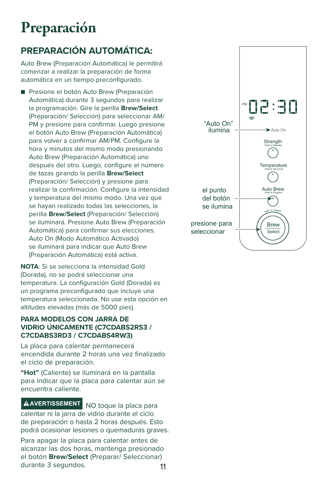## Preparación

#### **PREPARACIÓN AUTOMÁTICA:**

Auto Brew (Preparación Automática) le permitirá comenzar a realizar la preparación de forma automática en un tiempo preconfigurado.

■ Presione el botón Auto Brew (Preparación Automática) durante 3 segundos para realizar la programación. Gire la perilla **Brew/Select** (Preparación/ Selección) para seleccionar AM/ PM y presione para confirmar. Luego presione el botón Auto Brew (Preparación Automática) para volver a confirmar AM/PM. Configure la hora y minutos del mismo modo presionando Auto Brew (Preparación Automática) uno después del otro. Luego, configure el número de tazas girando la perilla **Brew/Select** (Preparación/ Selección) y presione para realizar la confirmación. Configure la intensidad y temperatura del mismo modo. Una vez que se hayan realizado todas las selecciones, la perilla **Brew/Select** (Preparación/ Selección) se iluminará. Presione Auto Brew (Preparación Automática) para confirmar sus elecciones. Auto On (Modo Automático Activado) se iluminará para indicar que Auto Brew (Preparación Automática) está activa.

**NOTA**: Si se selecciona la intensidad Gold (Dorada), no se podrá seleccionar una temperatura. La configuración Gold (Dorada) es un programa preconfigurado que incluye una temperatura seleccionada. No use esta opción en altitudes elevadas (más de 5000 pies).

#### **PARA MODELOS CON JARRA DE VIDRIO ÚNICAMENTE (C7CDABS2RS3 / C7CDABS3RD3 / C7CDABS4RW3)**

La placa para calentar permanecerá encendida durante 2 horas una vez finalizado el ciclo de preparación.

**"Hot"** (Caliente) se iluminará en la pantalla para indicar que la placa para calentar aún se encuentra caliente.

#### **AVERTISSEMENT** NO toque la placa para

calentar ni la jarra de vidrio durante el ciclo de preparación o hasta 2 horas después. Esto podrá ocasionar lesiones o quemaduras graves.

11 Para apagar la placa para calentar antes de alcanzar las dos horas, mantenga presionado el botón **Brew/Select** (Preparar/ Seleccionar) durante 3 segundos.

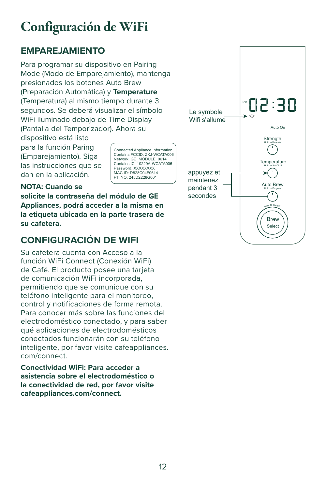## Configuración de WiFi

#### **EMPAREJAMIENTO**

Para programar su dispositivo en Pairing Mode (Modo de Emparejamiento), mantenga presionados los botones Auto Brew (Preparación Automática) y **Temperature** (Temperatura) al mismo tiempo durante 3 segundos. Se deberá visualizar el símbolo WiFi iluminado debajo de Time Display (Pantalla del Temporizador). Ahora su

dispositivo está listo para la función Paring (Emparejamiento). Siga las instrucciones que se dan en la aplicación.

Connected Appliance Information Contains FCCID: ZKJ-WCATA006 Network: GE\_MODULE\_0614 Contains IC: 10229A-WCATA006 Password: XXXXXXXX MAC ID: D828C94F0614 PT. NO. 245D2228G001

#### **NOTA: Cuando se**

**solicite la contraseña del módulo de GE Appliances, podrá acceder a la misma en la etiqueta ubicada en la parte trasera de su cafetera.** 

#### **CONFIGURACIÓN DE WIFI**

Su cafetera cuenta con Acceso a la función WiFi Connect (Conexión WiFi) de Café. El producto posee una tarjeta de comunicación WiFi incorporada, permitiendo que se comunique con su teléfono inteligente para el monitoreo, control y notificaciones de forma remota. Para conocer más sobre las funciones del electrodoméstico conectado, y para saber qué aplicaciones de electrodomésticos conectados funcionarán con su teléfono inteligente, por favor visite cafeappliances. com/connect.

**Conectividad WiFi: Para acceder a asistencia sobre el electrodoméstico o la conectividad de red, por favor visite cafeappliances.com/connect.** 

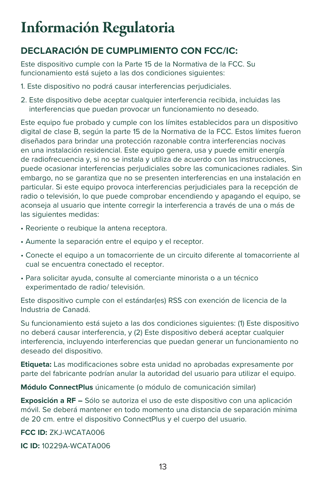## Información Regulatoria

#### **DECLARACIÓN DE CUMPLIMIENTO CON FCC/IC:**

Este dispositivo cumple con la Parte 15 de la Normativa de la FCC. Su funcionamiento está sujeto a las dos condiciones siguientes:

- 1. Este dispositivo no podrá causar interferencias perjudiciales.
- 2. Este dispositivo debe aceptar cualquier interferencia recibida, incluidas las interferencias que puedan provocar un funcionamiento no deseado.

Este equipo fue probado y cumple con los límites establecidos para un dispositivo digital de clase B, según la parte 15 de la Normativa de la FCC. Estos límites fueron diseñados para brindar una protección razonable contra interferencias nocivas en una instalación residencial. Este equipo genera, usa y puede emitir energía de radiofrecuencia y, si no se instala y utiliza de acuerdo con las instrucciones, puede ocasionar interferencias perjudiciales sobre las comunicaciones radiales. Sin embargo, no se garantiza que no se presenten interferencias en una instalación en particular. Si este equipo provoca interferencias perjudiciales para la recepción de radio o televisión, lo que puede comprobar encendiendo y apagando el equipo, se aconseja al usuario que intente corregir la interferencia a través de una o más de las siguientes medidas:

- Reoriente o reubique la antena receptora.
- Aumente la separación entre el equipo y el receptor.
- Conecte el equipo a un tomacorriente de un circuito diferente al tomacorriente al cual se encuentra conectado el receptor.
- Para solicitar ayuda, consulte al comerciante minorista o a un técnico experimentado de radio/ televisión.

Este dispositivo cumple con el estándar(es) RSS con exención de licencia de la Industria de Canadá.

Su funcionamiento está sujeto a las dos condiciones siguientes: (1) Este dispositivo no deberá causar interferencia, y (2) Este dispositivo deberá aceptar cualquier interferencia, incluyendo interferencias que puedan generar un funcionamiento no deseado del dispositivo.

**Etiqueta:** Las modificaciones sobre esta unidad no aprobadas expresamente por parte del fabricante podrían anular la autoridad del usuario para utilizar el equipo.

**Módulo ConnectPlus** únicamente (o módulo de comunicación similar)

**Exposición a RF –** Sólo se autoriza el uso de este dispositivo con una aplicación móvil. Se deberá mantener en todo momento una distancia de separación mínima de 20 cm. entre el dispositivo ConnectPlus y el cuerpo del usuario.

#### **FCC ID:** ZKJ-WCATA006

**IC ID:** 10229A-WCATA006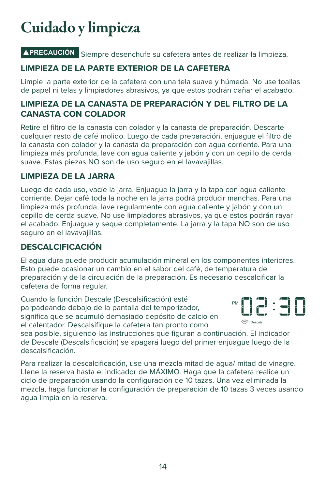## Cuidado y limpieza

### **PRECAUCIÓN** Siempre desenchufe su cafetera antes de realizar la limpieza.

#### **LIMPIEZA DE LA PARTE EXTERIOR DE LA CAFETERA**

Limpie la parte exterior de la cafetera con una tela suave y húmeda. No use toallas de papel ni telas y limpiadores abrasivos, ya que estos podrán dañar el acabado.

#### **LIMPIEZA DE LA CANASTA DE PREPARACIÓN Y DEL FILTRO DE LA CANASTA CON COLADOR**

Retire el filtro de la canasta con colador y la canasta de preparación. Descarte cualquier resto de café molido. Luego de cada preparación, enjuague el filtro de la canasta con colador y la canasta de preparación con agua corriente. Para una limpieza más profunda, lave con agua caliente y jabón y con un cepillo de cerda suave. Estas piezas NO son de uso seguro en el lavavajillas.

#### **LIMPIEZA DE LA JARRA**

Luego de cada uso, vacíe la jarra. Enjuague la jarra y la tapa con agua caliente corriente. Dejar café toda la noche en la jarra podrá producir manchas. Para una limpieza más profunda, lave regularmente con agua caliente y jabón y con un cepillo de cerda suave. No use limpiadores abrasivos, ya que estos podrán rayar el acabado. Enjuague y seque completamente. La jarra y la tapa NO son de uso seguro en el lavavajillas.

#### **DESCALCIFICACIÓN**

El agua dura puede producir acumulación mineral en los componentes interiores. Esto puede ocasionar un cambio en el sabor del café, de temperatura de preparación y de la circulación de la preparación. Es necesario descalcificar la cafetera de forma regular.

Cuando la función Descale (Descalsificación) esté parpadeando debajo de la pantalla del temporizador, significa que se acumuló demasiado depósito de calcio en el calentador. Descalsifique la cafetera tan pronto como



sea posible, siguiendo las instrucciones que figuran a continuación. El indicador de Descale (Descalsificación) se apagará luego del primer enjuague luego de la descalsificación.

Para realizar la descalcificación, use una mezcla mitad de agua/ mitad de vinagre. Llene la reserva hasta el indicador de MÁXIMO. Haga que la cafetera realice un ciclo de preparación usando la configuración de 10 tazas. Una vez eliminada la mezcla, haga funcionar la configuración de preparación de 10 tazas 3 veces usando agua limpia en la reserva.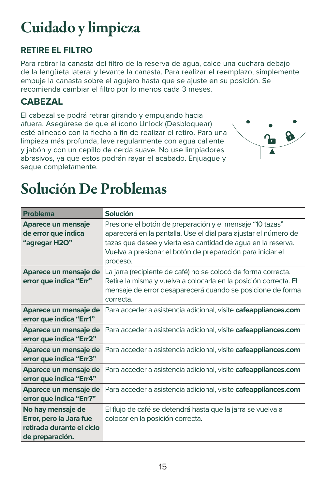## Cuidado y limpieza

#### **RETIRE EL FILTRO**

Para retirar la canasta del filtro de la reserva de agua, calce una cuchara debajo de la lengüeta lateral y levante la canasta. Para realizar el reemplazo, simplemente empuje la canasta sobre el agujero hasta que se ajuste en su posición. Se recomienda cambiar el filtro por lo menos cada 3 meses.

#### **CABEZAL**

El cabezal se podrá retirar girando y empujando hacia afuera. Asegúrese de que el ícono Unlock (Desbloquear) esté alineado con la flecha a fin de realizar el retiro. Para una limpieza más profunda, lave regularmente con agua caliente y jabón y con un cepillo de cerda suave. No use limpiadores abrasivos, ya que estos podrán rayar el acabado. Enjuague y seque completamente.



## Solución De Problemas

| <b>Problema</b>                                                                              | <b>Solución</b>                                                                                                                                                                                                                                                       |
|----------------------------------------------------------------------------------------------|-----------------------------------------------------------------------------------------------------------------------------------------------------------------------------------------------------------------------------------------------------------------------|
| Aparece un mensaje<br>de error que indica<br>"agregar H2O"                                   | Presione el botón de preparación y el mensaje "10 tazas"<br>aparecerá en la pantalla. Use el dial para ajustar el número de<br>tazas que desee y vierta esa cantidad de agua en la reserva.<br>Vuelva a presionar el botón de preparación para iniciar el<br>proceso. |
| Aparece un mensaje de<br>error que indica "Err"                                              | La jarra (recipiente de café) no se colocó de forma correcta.<br>Retire la misma y vuelva a colocarla en la posición correcta. El<br>mensaje de error desaparecerá cuando se posicione de forma<br>correcta.                                                          |
| Aparece un mensaje de<br>error que indica "Err1"                                             | Para acceder a asistencia adicional, visite cafeappliances.com                                                                                                                                                                                                        |
| Aparece un mensaje de<br>error que indica "Err2"                                             | Para acceder a asistencia adicional, visite cafeappliances.com                                                                                                                                                                                                        |
| Aparece un mensaje de<br>error que indica "Err3"                                             | Para acceder a asistencia adicional, visite cafeappliances.com                                                                                                                                                                                                        |
| Aparece un mensaje de<br>error que indica "Err4"                                             | Para acceder a asistencia adicional, visite cafeappliances.com                                                                                                                                                                                                        |
| Aparece un mensaje de<br>error que indica "Err7"                                             | Para acceder a asistencia adicional, visite cafeappliances.com                                                                                                                                                                                                        |
| No hay mensaje de<br>Error, pero la Jara fue<br>retirada durante el ciclo<br>de preparación. | El flujo de café se detendrá hasta que la jarra se vuelva a<br>colocar en la posición correcta.                                                                                                                                                                       |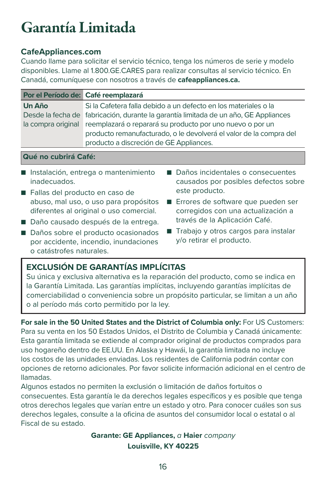## Garantía Limitada

#### **CafeAppliances.com**

Cuando llame para solicitar el servicio técnico, tenga los números de serie y modelo disponibles. Llame al 1.800.GE.CARES para realizar consultas al servicio técnico. En Canadá, comuníquese con nosotros a través de **cafeappliances.ca.**

|                                                   | Por el Período de: Café reemplazará                                                                                                                                                                                                                                                                                 |
|---------------------------------------------------|---------------------------------------------------------------------------------------------------------------------------------------------------------------------------------------------------------------------------------------------------------------------------------------------------------------------|
| Un Año<br>Desde la fecha de<br>la compra original | Si la Cafetera falla debido a un defecto en los materiales o la<br>fabricación, durante la garantía limitada de un año, GE Appliances<br>reemplazará o reparará su producto por uno nuevo o por un<br>producto remanufacturado, o le devolverá el valor de la compra del<br>producto a discreción de GE Appliances. |
| <b>Qué no cubrirá Café:</b>                       |                                                                                                                                                                                                                                                                                                                     |

- Instalación, entrega o mantenimiento inadecuados.
- Fallas del producto en caso de abuso, mal uso, o uso para propósitos diferentes al original o uso comercial.
- Daño causado después de la entrega.
- Daños sobre el producto ocasionados por accidente, incendio, inundaciones o catástrofes naturales.
- Daños incidentales o consecuentes causados por posibles defectos sobre este producto.
- Errores de software que pueden ser corregidos con una actualización a través de la Aplicación Café.
- Trabajo y otros cargos para instalar y/o retirar el producto.

#### **EXCLUSIÓN DE GARANTÍAS IMPLÍCITAS**

Su única y exclusiva alternativa es la reparación del producto, como se indica en la Garantía Limitada. Las garantías implícitas, incluyendo garantías implícitas de comerciabilidad o conveniencia sobre un propósito particular, se limitan a un año o al período más corto permitido por la ley.

**For sale in the 50 United States and the District of Columbia only:** For US Customers: Para su venta en los 50 Estados Unidos, el Distrito de Columbia y Canadá únicamente: Esta garantía limitada se extiende al comprador original de productos comprados para uso hogareño dentro de EE.UU. En Alaska y Hawái, la garantía limitada no incluye los costos de las unidades enviadas. Los residentes de California podrán contar con opciones de retorno adicionales. Por favor solicite información adicional en el centro de llamadas.

Algunos estados no permiten la exclusión o limitación de daños fortuitos o consecuentes. Esta garantía le da derechos legales específicos y es posible que tenga otros derechos legales que varían entre un estado y otro. Para conocer cuáles son sus derechos legales, consulte a la oficina de asuntos del consumidor local o estatal o al Fiscal de su estado.

> **Garante: GE Appliances,** a **Haier** company **Louisville, KY 40225**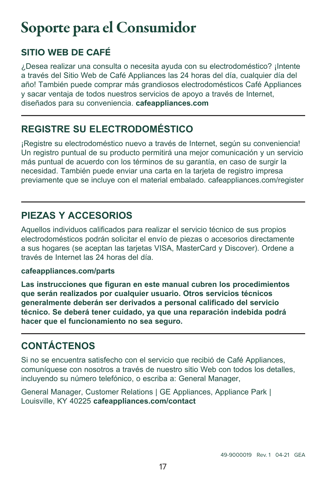## Soporte para el Consumidor

### **SITIO WEB DE CAFÉ**

¿Desea realizar una consulta o necesita ayuda con su electrodoméstico? ¡Intente a través del Sitio Web de Café Appliances las 24 horas del día, cualquier día del año! También puede comprar más grandiosos electrodomésticos Café Appliances y sacar ventaja de todos nuestros servicios de apoyo a través de Internet, diseñados para su conveniencia. **cafeappliances.com**

#### **REGISTRE SU ELECTRODOMÉSTICO**

¡Registre su electrodoméstico nuevo a través de Internet, según su conveniencia! Un registro puntual de su producto permitirá una mejor comunicación y un servicio más puntual de acuerdo con los términos de su garantía, en caso de surgir la necesidad. También puede enviar una carta en la tarjeta de registro impresa previamente que se incluye con el material embalado. cafeappliances.com/register

#### **PIEZAS Y ACCESORIOS**

Aquellos individuos calificados para realizar el servicio técnico de sus propios electrodomésticos podrán solicitar el envío de piezas o accesorios directamente a sus hogares (se aceptan las tarjetas VISA, MasterCard y Discover). Ordene a través de Internet las 24 horas del día.

#### **cafeappliances.com/parts**

**Las instrucciones que figuran en este manual cubren los procedimientos que serán realizados por cualquier usuario. Otros servicios técnicos generalmente deberán ser derivados a personal calificado del servicio técnico. Se deberá tener cuidado, ya que una reparación indebida podrá hacer que el funcionamiento no sea seguro.** 

### **CONTÁCTENOS**

Si no se encuentra satisfecho con el servicio que recibió de Café Appliances, comuníquese con nosotros a través de nuestro sitio Web con todos los detalles, incluyendo su número telefónico, o escriba a: General Manager,

General Manager, Customer Relations | GE Appliances, Appliance Park | Louisville, KY 40225 **cafeappliances.com/contact**